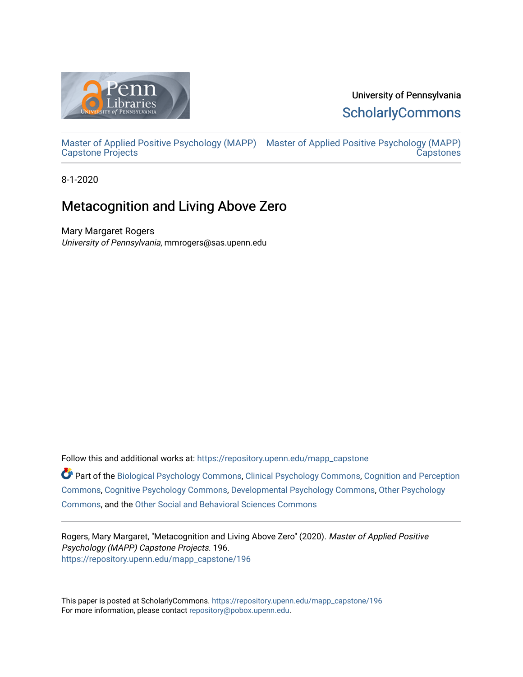

# University of Pennsylvania **ScholarlyCommons**

[Master of Applied Positive Psychology \(MAPP\)](https://repository.upenn.edu/mapp_capstone) [Master of Applied Positive Psychology \(MAPP\)](https://repository.upenn.edu/mapp_capstones)  [Capstone Projects](https://repository.upenn.edu/mapp_capstone)  **Capstones** 

8-1-2020

# Metacognition and Living Above Zero

Mary Margaret Rogers University of Pennsylvania, mmrogers@sas.upenn.edu

Follow this and additional works at: [https://repository.upenn.edu/mapp\\_capstone](https://repository.upenn.edu/mapp_capstone?utm_source=repository.upenn.edu%2Fmapp_capstone%2F196&utm_medium=PDF&utm_campaign=PDFCoverPages) 

Part of the [Biological Psychology Commons,](http://network.bepress.com/hgg/discipline/405?utm_source=repository.upenn.edu%2Fmapp_capstone%2F196&utm_medium=PDF&utm_campaign=PDFCoverPages) [Clinical Psychology Commons,](http://network.bepress.com/hgg/discipline/406?utm_source=repository.upenn.edu%2Fmapp_capstone%2F196&utm_medium=PDF&utm_campaign=PDFCoverPages) [Cognition and Perception](http://network.bepress.com/hgg/discipline/407?utm_source=repository.upenn.edu%2Fmapp_capstone%2F196&utm_medium=PDF&utm_campaign=PDFCoverPages)  [Commons](http://network.bepress.com/hgg/discipline/407?utm_source=repository.upenn.edu%2Fmapp_capstone%2F196&utm_medium=PDF&utm_campaign=PDFCoverPages), [Cognitive Psychology Commons](http://network.bepress.com/hgg/discipline/408?utm_source=repository.upenn.edu%2Fmapp_capstone%2F196&utm_medium=PDF&utm_campaign=PDFCoverPages), [Developmental Psychology Commons](http://network.bepress.com/hgg/discipline/410?utm_source=repository.upenn.edu%2Fmapp_capstone%2F196&utm_medium=PDF&utm_campaign=PDFCoverPages), [Other Psychology](http://network.bepress.com/hgg/discipline/415?utm_source=repository.upenn.edu%2Fmapp_capstone%2F196&utm_medium=PDF&utm_campaign=PDFCoverPages) [Commons](http://network.bepress.com/hgg/discipline/415?utm_source=repository.upenn.edu%2Fmapp_capstone%2F196&utm_medium=PDF&utm_campaign=PDFCoverPages), and the [Other Social and Behavioral Sciences Commons](http://network.bepress.com/hgg/discipline/437?utm_source=repository.upenn.edu%2Fmapp_capstone%2F196&utm_medium=PDF&utm_campaign=PDFCoverPages)

Rogers, Mary Margaret, "Metacognition and Living Above Zero" (2020). Master of Applied Positive Psychology (MAPP) Capstone Projects. 196. [https://repository.upenn.edu/mapp\\_capstone/196](https://repository.upenn.edu/mapp_capstone/196?utm_source=repository.upenn.edu%2Fmapp_capstone%2F196&utm_medium=PDF&utm_campaign=PDFCoverPages) 

This paper is posted at ScholarlyCommons. [https://repository.upenn.edu/mapp\\_capstone/196](https://repository.upenn.edu/mapp_capstone/196)  For more information, please contact [repository@pobox.upenn.edu.](mailto:repository@pobox.upenn.edu)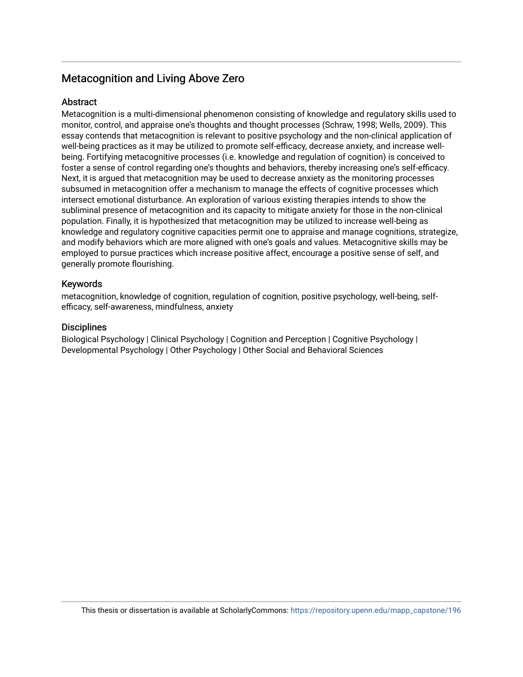## Metacognition and Living Above Zero

## Abstract

Metacognition is a multi-dimensional phenomenon consisting of knowledge and regulatory skills used to monitor, control, and appraise one's thoughts and thought processes (Schraw, 1998; Wells, 2009). This essay contends that metacognition is relevant to positive psychology and the non-clinical application of well-being practices as it may be utilized to promote self-efficacy, decrease anxiety, and increase wellbeing. Fortifying metacognitive processes (i.e. knowledge and regulation of cognition) is conceived to foster a sense of control regarding one's thoughts and behaviors, thereby increasing one's self-efficacy. Next, it is argued that metacognition may be used to decrease anxiety as the monitoring processes subsumed in metacognition offer a mechanism to manage the effects of cognitive processes which intersect emotional disturbance. An exploration of various existing therapies intends to show the subliminal presence of metacognition and its capacity to mitigate anxiety for those in the non-clinical population. Finally, it is hypothesized that metacognition may be utilized to increase well-being as knowledge and regulatory cognitive capacities permit one to appraise and manage cognitions, strategize, and modify behaviors which are more aligned with one's goals and values. Metacognitive skills may be employed to pursue practices which increase positive affect, encourage a positive sense of self, and generally promote flourishing.

## Keywords

metacognition, knowledge of cognition, regulation of cognition, positive psychology, well-being, selfefficacy, self-awareness, mindfulness, anxiety

## **Disciplines**

Biological Psychology | Clinical Psychology | Cognition and Perception | Cognitive Psychology | Developmental Psychology | Other Psychology | Other Social and Behavioral Sciences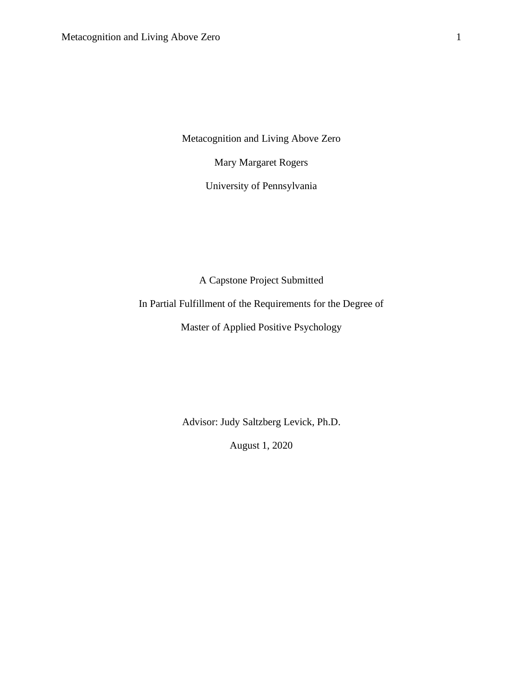Metacognition and Living Above Zero

Mary Margaret Rogers

University of Pennsylvania

A Capstone Project Submitted

In Partial Fulfillment of the Requirements for the Degree of

Master of Applied Positive Psychology

Advisor: Judy Saltzberg Levick, Ph.D.

August 1, 2020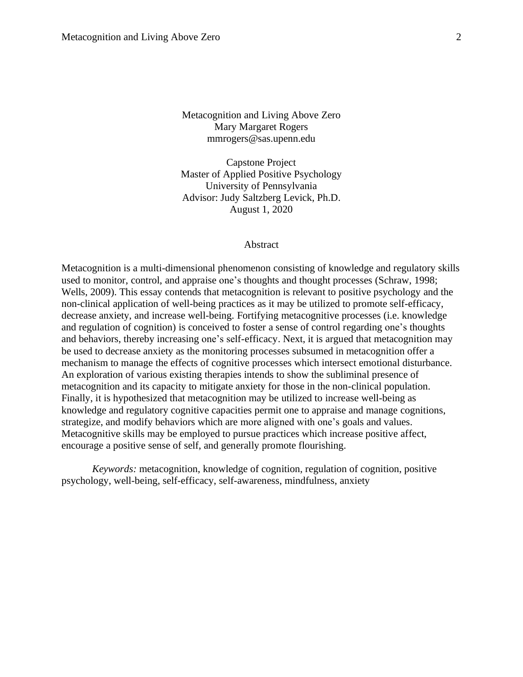Metacognition and Living Above Zero Mary Margaret Rogers mmrogers@sas.upenn.edu

Capstone Project Master of Applied Positive Psychology University of Pennsylvania Advisor: Judy Saltzberg Levick, Ph.D. August 1, 2020

#### Abstract

Metacognition is a multi-dimensional phenomenon consisting of knowledge and regulatory skills used to monitor, control, and appraise one's thoughts and thought processes (Schraw, 1998; Wells, 2009). This essay contends that metacognition is relevant to positive psychology and the non-clinical application of well-being practices as it may be utilized to promote self-efficacy, decrease anxiety, and increase well-being. Fortifying metacognitive processes (i.e. knowledge and regulation of cognition) is conceived to foster a sense of control regarding one's thoughts and behaviors, thereby increasing one's self-efficacy. Next, it is argued that metacognition may be used to decrease anxiety as the monitoring processes subsumed in metacognition offer a mechanism to manage the effects of cognitive processes which intersect emotional disturbance. An exploration of various existing therapies intends to show the subliminal presence of metacognition and its capacity to mitigate anxiety for those in the non-clinical population. Finally, it is hypothesized that metacognition may be utilized to increase well-being as knowledge and regulatory cognitive capacities permit one to appraise and manage cognitions, strategize, and modify behaviors which are more aligned with one's goals and values. Metacognitive skills may be employed to pursue practices which increase positive affect, encourage a positive sense of self, and generally promote flourishing.

*Keywords:* metacognition, knowledge of cognition, regulation of cognition, positive psychology, well-being, self-efficacy, self-awareness, mindfulness, anxiety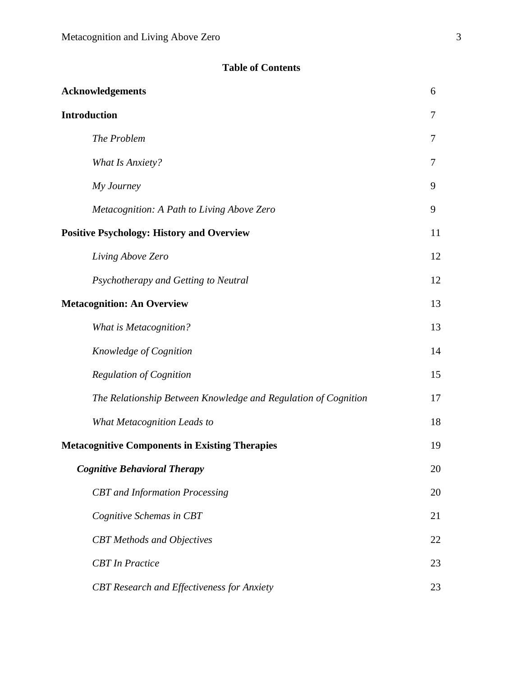## **Table of Contents**

| <b>Acknowledgements</b>                                        |    |  |
|----------------------------------------------------------------|----|--|
| <b>Introduction</b>                                            | 7  |  |
| The Problem                                                    | 7  |  |
| What Is Anxiety?                                               | 7  |  |
| My Journey                                                     | 9  |  |
| Metacognition: A Path to Living Above Zero                     | 9  |  |
| <b>Positive Psychology: History and Overview</b>               | 11 |  |
| Living Above Zero                                              | 12 |  |
| Psychotherapy and Getting to Neutral                           | 12 |  |
| <b>Metacognition: An Overview</b>                              | 13 |  |
| What is Metacognition?                                         | 13 |  |
| Knowledge of Cognition                                         | 14 |  |
| <b>Regulation of Cognition</b>                                 | 15 |  |
| The Relationship Between Knowledge and Regulation of Cognition | 17 |  |
| What Metacognition Leads to                                    | 18 |  |
| <b>Metacognitive Components in Existing Therapies</b>          | 19 |  |
| <b>Cognitive Behavioral Therapy</b>                            | 20 |  |
| <b>CBT</b> and Information Processing                          | 20 |  |
| Cognitive Schemas in CBT                                       | 21 |  |
| <b>CBT</b> Methods and Objectives                              | 22 |  |
| <b>CBT</b> In Practice                                         | 23 |  |
| <b>CBT</b> Research and Effectiveness for Anxiety              | 23 |  |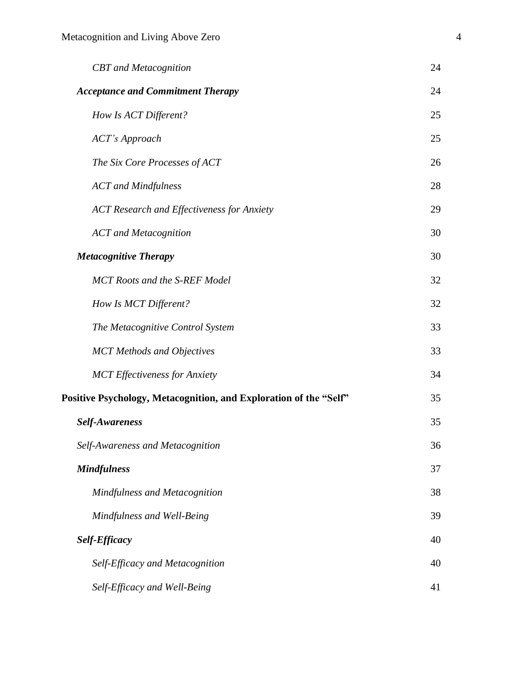| <b>CBT</b> and Metacognition                                      | 24 |
|-------------------------------------------------------------------|----|
| <b>Acceptance and Commitment Therapy</b>                          | 24 |
| How Is ACT Different?                                             | 25 |
| ACT's Approach                                                    | 25 |
| The Six Core Processes of ACT                                     | 26 |
| <b>ACT</b> and Mindfulness                                        | 28 |
| <b>ACT Research and Effectiveness for Anxiety</b>                 | 29 |
| <b>ACT</b> and Metacognition                                      | 30 |
| <b>Metacognitive Therapy</b>                                      | 30 |
| <b>MCT</b> Roots and the S-REF Model                              | 32 |
| How Is MCT Different?                                             | 32 |
| The Metacognitive Control System                                  | 33 |
| <b>MCT</b> Methods and Objectives                                 | 33 |
| <b>MCT</b> Effectiveness for Anxiety                              | 34 |
| Positive Psychology, Metacognition, and Exploration of the "Self" | 35 |
| Self-Awareness                                                    | 35 |
| Self-Awareness and Metacognition                                  | 36 |
| <b>Mindfulness</b>                                                | 37 |
| Mindfulness and Metacognition                                     | 38 |
| Mindfulness and Well-Being                                        | 39 |
| Self-Efficacy                                                     | 40 |
| Self-Efficacy and Metacognition                                   | 40 |
| Self-Efficacy and Well-Being                                      | 41 |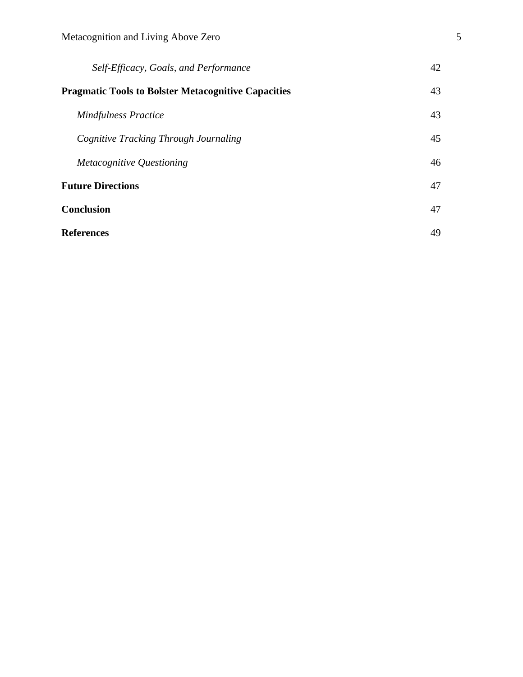| Self-Efficacy, Goals, and Performance                      | 42 |
|------------------------------------------------------------|----|
| <b>Pragmatic Tools to Bolster Metacognitive Capacities</b> | 43 |
| <b>Mindfulness Practice</b>                                | 43 |
| Cognitive Tracking Through Journaling                      | 45 |
| Metacognitive Questioning                                  | 46 |
| <b>Future Directions</b>                                   | 47 |
| <b>Conclusion</b>                                          | 47 |
| <b>References</b>                                          | 49 |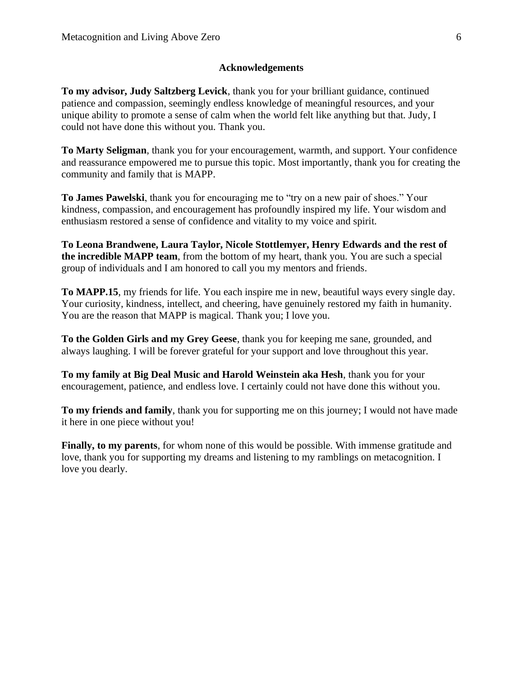## **Acknowledgements**

**To my advisor, Judy Saltzberg Levick**, thank you for your brilliant guidance, continued patience and compassion, seemingly endless knowledge of meaningful resources, and your unique ability to promote a sense of calm when the world felt like anything but that. Judy, I could not have done this without you. Thank you.

**To Marty Seligman**, thank you for your encouragement, warmth, and support. Your confidence and reassurance empowered me to pursue this topic. Most importantly, thank you for creating the community and family that is MAPP.

**To James Pawelski**, thank you for encouraging me to "try on a new pair of shoes." Your kindness, compassion, and encouragement has profoundly inspired my life. Your wisdom and enthusiasm restored a sense of confidence and vitality to my voice and spirit.

**To Leona Brandwene, Laura Taylor, Nicole Stottlemyer, Henry Edwards and the rest of the incredible MAPP team**, from the bottom of my heart, thank you. You are such a special group of individuals and I am honored to call you my mentors and friends.

**To MAPP.15**, my friends for life. You each inspire me in new, beautiful ways every single day. Your curiosity, kindness, intellect, and cheering, have genuinely restored my faith in humanity. You are the reason that MAPP is magical. Thank you; I love you.

**To the Golden Girls and my Grey Geese**, thank you for keeping me sane, grounded, and always laughing. I will be forever grateful for your support and love throughout this year.

**To my family at Big Deal Music and Harold Weinstein aka Hesh**, thank you for your encouragement, patience, and endless love. I certainly could not have done this without you.

**To my friends and family**, thank you for supporting me on this journey; I would not have made it here in one piece without you!

**Finally, to my parents**, for whom none of this would be possible. With immense gratitude and love, thank you for supporting my dreams and listening to my ramblings on metacognition. I love you dearly.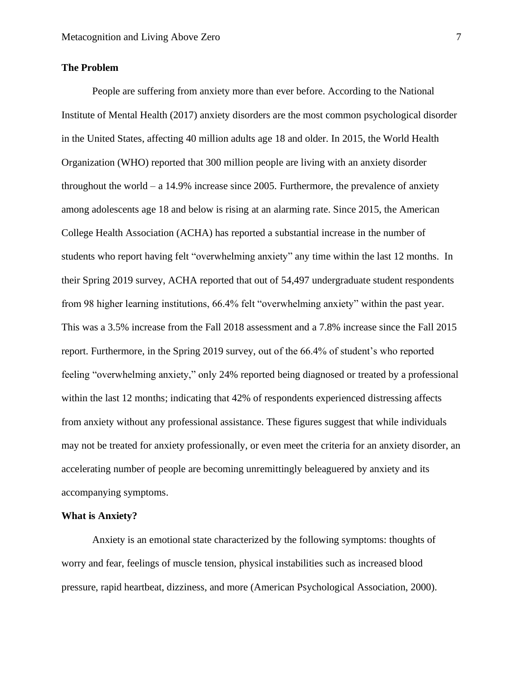## **The Problem**

People are suffering from anxiety more than ever before. According to the National Institute of Mental Health (2017) anxiety disorders are the most common psychological disorder in the United States, affecting 40 million adults age 18 and older. In 2015, the World Health Organization (WHO) reported that 300 million people are living with an anxiety disorder throughout the world – a  $14.9\%$  increase since 2005. Furthermore, the prevalence of anxiety among adolescents age 18 and below is rising at an alarming rate. Since 2015, the American College Health Association (ACHA) has reported a substantial increase in the number of students who report having felt "overwhelming anxiety" any time within the last 12 months. In their Spring 2019 survey, ACHA reported that out of 54,497 undergraduate student respondents from 98 higher learning institutions, 66.4% felt "overwhelming anxiety" within the past year. This was a 3.5% increase from the Fall 2018 assessment and a 7.8% increase since the Fall 2015 report. Furthermore, in the Spring 2019 survey, out of the 66.4% of student's who reported feeling "overwhelming anxiety," only 24% reported being diagnosed or treated by a professional within the last 12 months; indicating that 42% of respondents experienced distressing affects from anxiety without any professional assistance. These figures suggest that while individuals may not be treated for anxiety professionally, or even meet the criteria for an anxiety disorder, an accelerating number of people are becoming unremittingly beleaguered by anxiety and its accompanying symptoms.

#### **What is Anxiety?**

Anxiety is an emotional state characterized by the following symptoms: thoughts of worry and fear, feelings of muscle tension, physical instabilities such as increased blood pressure, rapid heartbeat, dizziness, and more (American Psychological Association, 2000).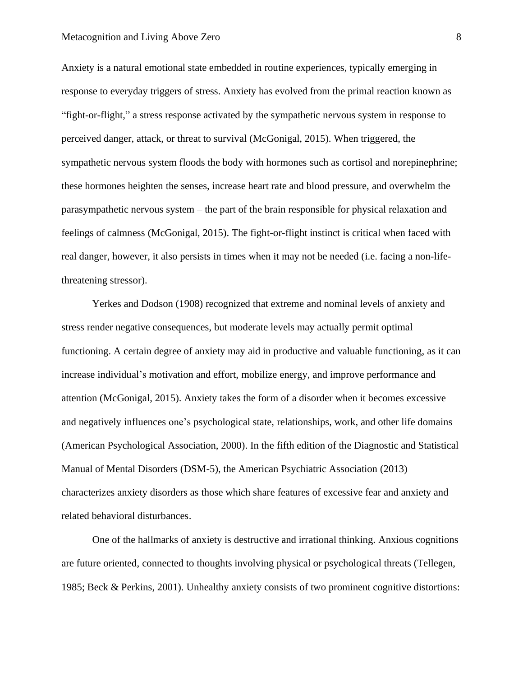Anxiety is a natural emotional state embedded in routine experiences, typically emerging in response to everyday triggers of stress. Anxiety has evolved from the primal reaction known as "fight-or-flight," a stress response activated by the sympathetic nervous system in response to perceived danger, attack, or threat to survival (McGonigal, 2015). When triggered, the sympathetic nervous system floods the body with hormones such as cortisol and norepinephrine; these hormones heighten the senses, increase heart rate and blood pressure, and overwhelm the parasympathetic nervous system – the part of the brain responsible for physical relaxation and feelings of calmness (McGonigal, 2015). The fight-or-flight instinct is critical when faced with real danger, however, it also persists in times when it may not be needed (i.e. facing a non-lifethreatening stressor).

Yerkes and Dodson (1908) recognized that extreme and nominal levels of anxiety and stress render negative consequences, but moderate levels may actually permit optimal functioning. A certain degree of anxiety may aid in productive and valuable functioning, as it can increase individual's motivation and effort, mobilize energy, and improve performance and attention (McGonigal, 2015). Anxiety takes the form of a disorder when it becomes excessive and negatively influences one's psychological state, relationships, work, and other life domains (American Psychological Association, 2000). In the fifth edition of the Diagnostic and Statistical Manual of Mental Disorders (DSM-5), the American Psychiatric Association (2013) characterizes anxiety disorders as those which share features of excessive fear and anxiety and related behavioral disturbances.

One of the hallmarks of anxiety is destructive and irrational thinking. Anxious cognitions are future oriented, connected to thoughts involving physical or psychological threats (Tellegen, 1985; Beck & Perkins, 2001). Unhealthy anxiety consists of two prominent cognitive distortions: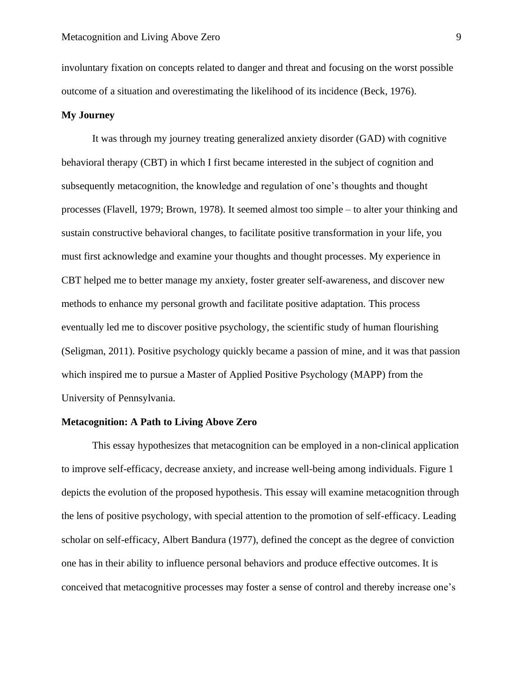involuntary fixation on concepts related to danger and threat and focusing on the worst possible outcome of a situation and overestimating the likelihood of its incidence (Beck, 1976).

## **My Journey**

It was through my journey treating generalized anxiety disorder (GAD) with cognitive behavioral therapy (CBT) in which I first became interested in the subject of cognition and subsequently metacognition, the knowledge and regulation of one's thoughts and thought processes (Flavell, 1979; Brown, 1978). It seemed almost too simple – to alter your thinking and sustain constructive behavioral changes, to facilitate positive transformation in your life, you must first acknowledge and examine your thoughts and thought processes. My experience in CBT helped me to better manage my anxiety, foster greater self-awareness, and discover new methods to enhance my personal growth and facilitate positive adaptation. This process eventually led me to discover positive psychology, the scientific study of human flourishing (Seligman, 2011). Positive psychology quickly became a passion of mine, and it was that passion which inspired me to pursue a Master of Applied Positive Psychology (MAPP) from the University of Pennsylvania.

#### **Metacognition: A Path to Living Above Zero**

This essay hypothesizes that metacognition can be employed in a non-clinical application to improve self-efficacy, decrease anxiety, and increase well-being among individuals. Figure 1 depicts the evolution of the proposed hypothesis. This essay will examine metacognition through the lens of positive psychology, with special attention to the promotion of self-efficacy. Leading scholar on self-efficacy, Albert Bandura (1977), defined the concept as the degree of conviction one has in their ability to influence personal behaviors and produce effective outcomes. It is conceived that metacognitive processes may foster a sense of control and thereby increase one's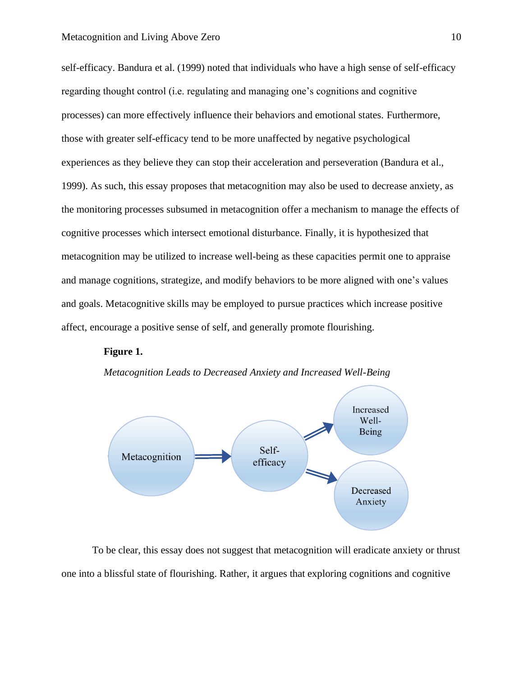self-efficacy. Bandura et al. (1999) noted that individuals who have a high sense of self-efficacy regarding thought control (i.e. regulating and managing one's cognitions and cognitive processes) can more effectively influence their behaviors and emotional states. Furthermore, those with greater self-efficacy tend to be more unaffected by negative psychological experiences as they believe they can stop their acceleration and perseveration (Bandura et al., 1999). As such, this essay proposes that metacognition may also be used to decrease anxiety, as the monitoring processes subsumed in metacognition offer a mechanism to manage the effects of cognitive processes which intersect emotional disturbance. Finally, it is hypothesized that metacognition may be utilized to increase well-being as these capacities permit one to appraise and manage cognitions, strategize, and modify behaviors to be more aligned with one's values and goals. Metacognitive skills may be employed to pursue practices which increase positive affect, encourage a positive sense of self, and generally promote flourishing.

#### **Figure 1.**





To be clear, this essay does not suggest that metacognition will eradicate anxiety or thrust one into a blissful state of flourishing. Rather, it argues that exploring cognitions and cognitive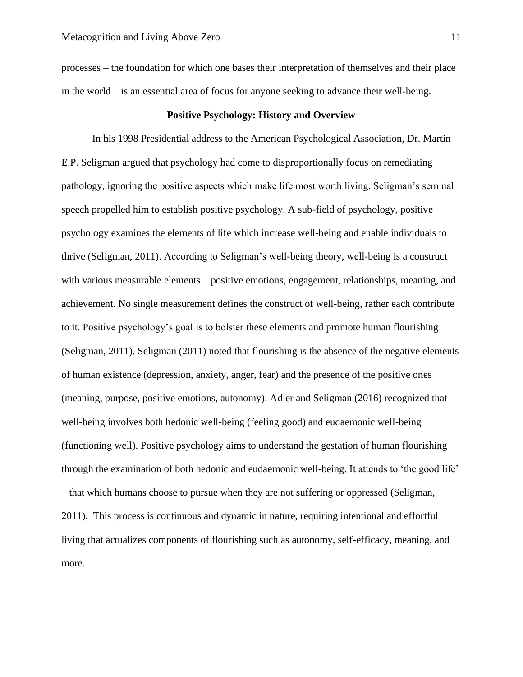processes – the foundation for which one bases their interpretation of themselves and their place in the world – is an essential area of focus for anyone seeking to advance their well-being.

### **Positive Psychology: History and Overview**

In his 1998 Presidential address to the American Psychological Association, Dr. Martin E.P. Seligman argued that psychology had come to disproportionally focus on remediating pathology, ignoring the positive aspects which make life most worth living. Seligman's seminal speech propelled him to establish positive psychology. A sub-field of psychology, positive psychology examines the elements of life which increase well-being and enable individuals to thrive (Seligman, 2011). According to Seligman's well-being theory, well-being is a construct with various measurable elements – positive emotions, engagement, relationships, meaning, and achievement. No single measurement defines the construct of well-being, rather each contribute to it. Positive psychology's goal is to bolster these elements and promote human flourishing (Seligman, 2011). Seligman (2011) noted that flourishing is the absence of the negative elements of human existence (depression, anxiety, anger, fear) and the presence of the positive ones (meaning, purpose, positive emotions, autonomy). Adler and Seligman (2016) recognized that well-being involves both hedonic well-being (feeling good) and eudaemonic well-being (functioning well). Positive psychology aims to understand the gestation of human flourishing through the examination of both hedonic and eudaemonic well-being. It attends to 'the good life' – that which humans choose to pursue when they are not suffering or oppressed (Seligman, 2011). This process is continuous and dynamic in nature, requiring intentional and effortful living that actualizes components of flourishing such as autonomy, self-efficacy, meaning, and more.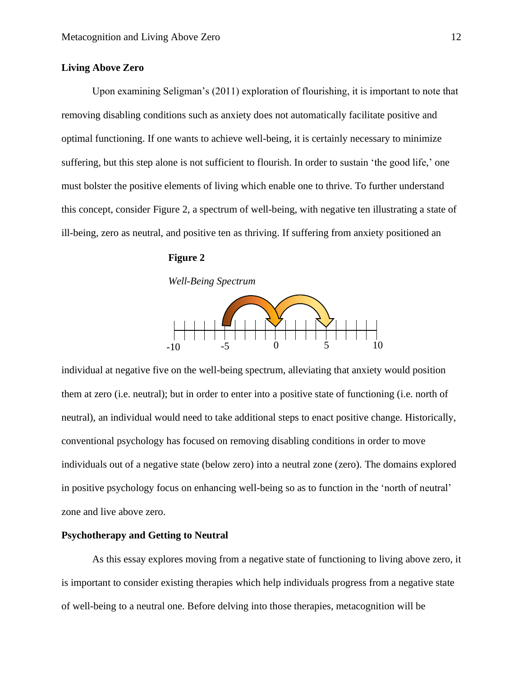## **Living Above Zero**

Upon examining Seligman's (2011) exploration of flourishing, it is important to note that removing disabling conditions such as anxiety does not automatically facilitate positive and optimal functioning. If one wants to achieve well-being, it is certainly necessary to minimize suffering, but this step alone is not sufficient to flourish. In order to sustain 'the good life,' one must bolster the positive elements of living which enable one to thrive. To further understand this concept, consider Figure 2, a spectrum of well-being, with negative ten illustrating a state of ill-being, zero as neutral, and positive ten as thriving. If suffering from anxiety positioned an

#### **Figure 2**

#### *Well-Being Spectrum*



individual at negative five on the well-being spectrum, alleviating that anxiety would position them at zero (i.e. neutral); but in order to enter into a positive state of functioning (i.e. north of neutral), an individual would need to take additional steps to enact positive change. Historically, conventional psychology has focused on removing disabling conditions in order to move individuals out of a negative state (below zero) into a neutral zone (zero). The domains explored in positive psychology focus on enhancing well-being so as to function in the 'north of neutral' zone and live above zero.

## **Psychotherapy and Getting to Neutral**

As this essay explores moving from a negative state of functioning to living above zero, it is important to consider existing therapies which help individuals progress from a negative state of well-being to a neutral one. Before delving into those therapies, metacognition will be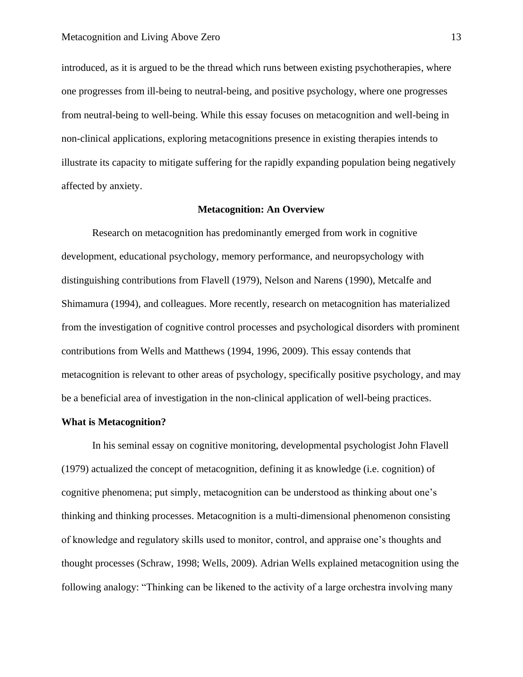introduced, as it is argued to be the thread which runs between existing psychotherapies, where one progresses from ill-being to neutral-being, and positive psychology, where one progresses from neutral-being to well-being. While this essay focuses on metacognition and well-being in non-clinical applications, exploring metacognitions presence in existing therapies intends to illustrate its capacity to mitigate suffering for the rapidly expanding population being negatively affected by anxiety.

#### **Metacognition: An Overview**

Research on metacognition has predominantly emerged from work in cognitive development, educational psychology, memory performance, and neuropsychology with distinguishing contributions from Flavell (1979), Nelson and Narens (1990), Metcalfe and Shimamura (1994), and colleagues. More recently, research on metacognition has materialized from the investigation of cognitive control processes and psychological disorders with prominent contributions from Wells and Matthews (1994, 1996, 2009). This essay contends that metacognition is relevant to other areas of psychology, specifically positive psychology, and may be a beneficial area of investigation in the non-clinical application of well-being practices.

#### **What is Metacognition?**

In his seminal essay on cognitive monitoring, developmental psychologist John Flavell (1979) actualized the concept of metacognition, defining it as knowledge (i.e. cognition) of cognitive phenomena; put simply, metacognition can be understood as thinking about one's thinking and thinking processes. Metacognition is a multi-dimensional phenomenon consisting of knowledge and regulatory skills used to monitor, control, and appraise one's thoughts and thought processes (Schraw, 1998; Wells, 2009). Adrian Wells explained metacognition using the following analogy: "Thinking can be likened to the activity of a large orchestra involving many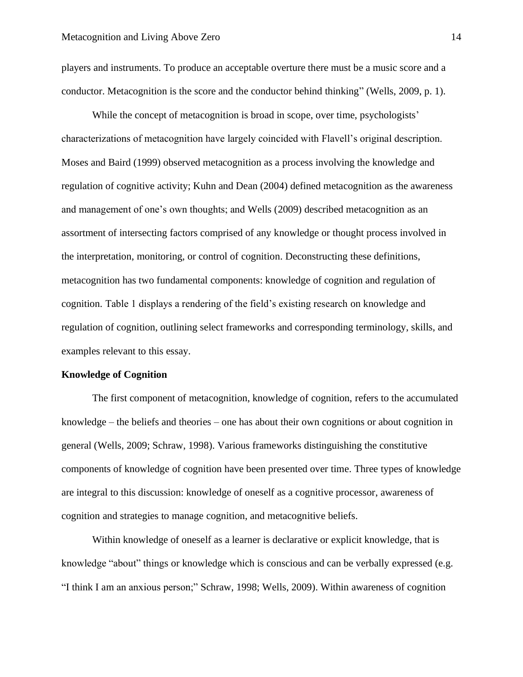players and instruments. To produce an acceptable overture there must be a music score and a conductor. Metacognition is the score and the conductor behind thinking" (Wells, 2009, p. 1).

While the concept of metacognition is broad in scope, over time, psychologists' characterizations of metacognition have largely coincided with Flavell's original description. Moses and Baird (1999) observed metacognition as a process involving the knowledge and regulation of cognitive activity; Kuhn and Dean (2004) defined metacognition as the awareness and management of one's own thoughts; and Wells (2009) described metacognition as an assortment of intersecting factors comprised of any knowledge or thought process involved in the interpretation, monitoring, or control of cognition. Deconstructing these definitions, metacognition has two fundamental components: knowledge of cognition and regulation of cognition. Table 1 displays a rendering of the field's existing research on knowledge and regulation of cognition, outlining select frameworks and corresponding terminology, skills, and examples relevant to this essay.

## **Knowledge of Cognition**

The first component of metacognition, knowledge of cognition, refers to the accumulated knowledge – the beliefs and theories – one has about their own cognitions or about cognition in general (Wells, 2009; Schraw, 1998). Various frameworks distinguishing the constitutive components of knowledge of cognition have been presented over time. Three types of knowledge are integral to this discussion: knowledge of oneself as a cognitive processor, awareness of cognition and strategies to manage cognition, and metacognitive beliefs.

Within knowledge of oneself as a learner is declarative or explicit knowledge, that is knowledge "about" things or knowledge which is conscious and can be verbally expressed (e.g. "I think I am an anxious person;" Schraw, 1998; Wells, 2009). Within awareness of cognition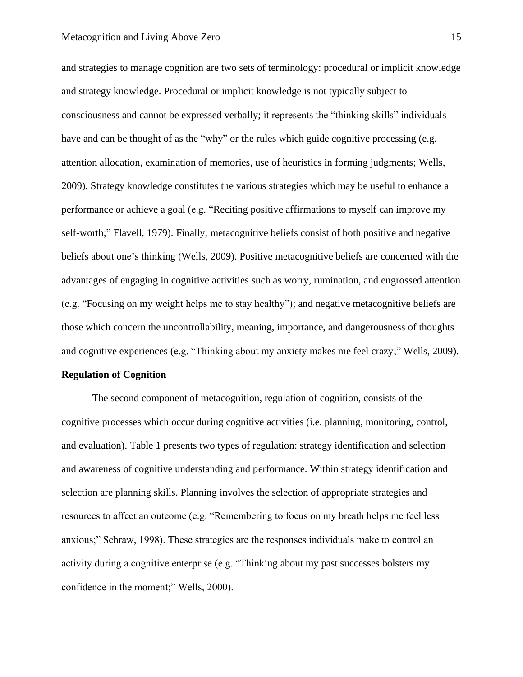and strategies to manage cognition are two sets of terminology: procedural or implicit knowledge and strategy knowledge. Procedural or implicit knowledge is not typically subject to consciousness and cannot be expressed verbally; it represents the "thinking skills" individuals have and can be thought of as the "why" or the rules which guide cognitive processing (e.g. attention allocation, examination of memories, use of heuristics in forming judgments; Wells, 2009). Strategy knowledge constitutes the various strategies which may be useful to enhance a performance or achieve a goal (e.g. "Reciting positive affirmations to myself can improve my self-worth;" Flavell, 1979). Finally, metacognitive beliefs consist of both positive and negative beliefs about one's thinking (Wells, 2009). Positive metacognitive beliefs are concerned with the advantages of engaging in cognitive activities such as worry, rumination, and engrossed attention (e.g. "Focusing on my weight helps me to stay healthy"); and negative metacognitive beliefs are those which concern the uncontrollability, meaning, importance, and dangerousness of thoughts and cognitive experiences (e.g. "Thinking about my anxiety makes me feel crazy;" Wells, 2009).

## **Regulation of Cognition**

The second component of metacognition, regulation of cognition, consists of the cognitive processes which occur during cognitive activities (i.e. planning, monitoring, control, and evaluation). Table 1 presents two types of regulation: strategy identification and selection and awareness of cognitive understanding and performance. Within strategy identification and selection are planning skills. Planning involves the selection of appropriate strategies and resources to affect an outcome (e.g. "Remembering to focus on my breath helps me feel less anxious;" Schraw, 1998). These strategies are the responses individuals make to control an activity during a cognitive enterprise (e.g. "Thinking about my past successes bolsters my confidence in the moment;" Wells, 2000).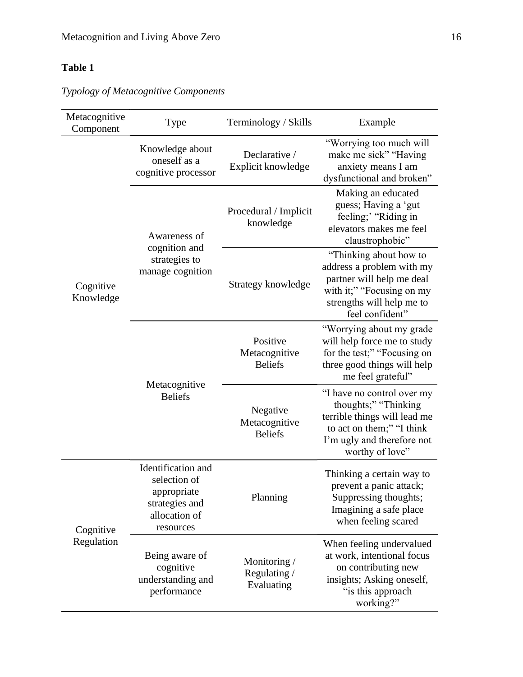# **Table 1**

| Metacognitive<br>Component | Type                                                                                              | Terminology / Skills                        | Example                                                                                                                                                          |
|----------------------------|---------------------------------------------------------------------------------------------------|---------------------------------------------|------------------------------------------------------------------------------------------------------------------------------------------------------------------|
| Cognitive<br>Knowledge     | Knowledge about<br>oneself as a<br>cognitive processor                                            | Declarative /<br>Explicit knowledge         | "Worrying too much will<br>make me sick" "Having"<br>anxiety means I am<br>dysfunctional and broken"                                                             |
|                            | Awareness of<br>cognition and<br>strategies to<br>manage cognition                                | Procedural / Implicit<br>knowledge          | Making an educated<br>guess; Having a 'gut<br>feeling;' "Riding in<br>elevators makes me feel<br>claustrophobic"                                                 |
|                            |                                                                                                   | Strategy knowledge                          | "Thinking about how to<br>address a problem with my<br>partner will help me deal<br>with it;" "Focusing on my<br>strengths will help me to<br>feel confident"    |
|                            | Metacognitive<br><b>Beliefs</b>                                                                   | Positive<br>Metacognitive<br><b>Beliefs</b> | "Worrying about my grade<br>will help force me to study<br>for the test;" "Focusing on<br>three good things will help<br>me feel grateful"                       |
|                            |                                                                                                   | Negative<br>Metacognitive<br><b>Beliefs</b> | "I have no control over my<br>thoughts;" "Thinking<br>terrible things will lead me<br>to act on them;" "I think<br>I'm ugly and therefore not<br>worthy of love" |
| Cognitive<br>Regulation    | Identification and<br>selection of<br>appropriate<br>strategies and<br>allocation of<br>resources | Planning                                    | Thinking a certain way to<br>prevent a panic attack;<br>Suppressing thoughts;<br>Imagining a safe place<br>when feeling scared                                   |
|                            | Being aware of<br>cognitive<br>understanding and<br>performance                                   | Monitoring /<br>Regulating /<br>Evaluating  | When feeling undervalued<br>at work, intentional focus<br>on contributing new<br>insights; Asking oneself,<br>"is this approach<br>working?"                     |

*Typology of Metacognitive Components*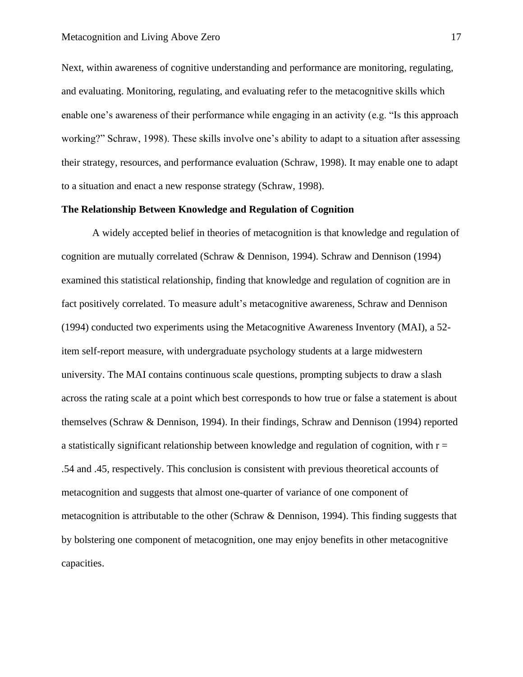Next, within awareness of cognitive understanding and performance are monitoring, regulating, and evaluating. Monitoring, regulating, and evaluating refer to the metacognitive skills which enable one's awareness of their performance while engaging in an activity (e.g. "Is this approach working?" Schraw, 1998). These skills involve one's ability to adapt to a situation after assessing their strategy, resources, and performance evaluation (Schraw, 1998). It may enable one to adapt to a situation and enact a new response strategy (Schraw, 1998).

## **The Relationship Between Knowledge and Regulation of Cognition**

A widely accepted belief in theories of metacognition is that knowledge and regulation of cognition are mutually correlated (Schraw & Dennison, 1994). Schraw and Dennison (1994) examined this statistical relationship, finding that knowledge and regulation of cognition are in fact positively correlated. To measure adult's metacognitive awareness, Schraw and Dennison (1994) conducted two experiments using the Metacognitive Awareness Inventory (MAI), a 52 item self-report measure, with undergraduate psychology students at a large midwestern university. The MAI contains continuous scale questions, prompting subjects to draw a slash across the rating scale at a point which best corresponds to how true or false a statement is about themselves (Schraw & Dennison, 1994). In their findings, Schraw and Dennison (1994) reported a statistically significant relationship between knowledge and regulation of cognition, with  $r =$ .54 and .45, respectively. This conclusion is consistent with previous theoretical accounts of metacognition and suggests that almost one-quarter of variance of one component of metacognition is attributable to the other (Schraw & Dennison, 1994). This finding suggests that by bolstering one component of metacognition, one may enjoy benefits in other metacognitive capacities.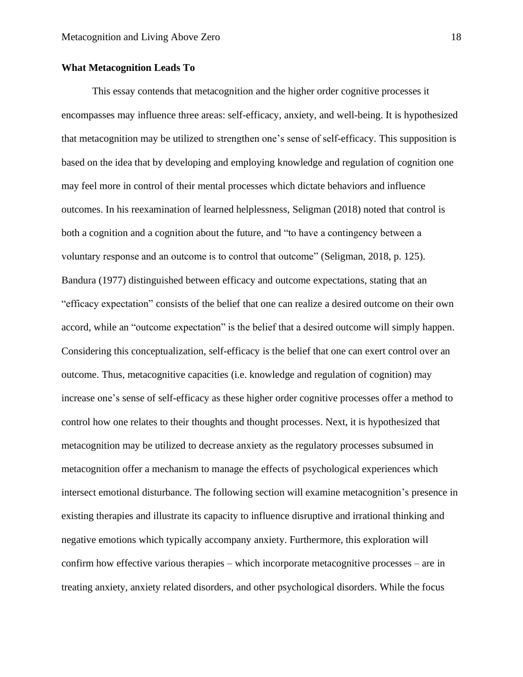## **What Metacognition Leads To**

This essay contends that metacognition and the higher order cognitive processes it encompasses may influence three areas: self-efficacy, anxiety, and well-being. It is hypothesized that metacognition may be utilized to strengthen one's sense of self-efficacy. This supposition is based on the idea that by developing and employing knowledge and regulation of cognition one may feel more in control of their mental processes which dictate behaviors and influence outcomes. In his reexamination of learned helplessness, Seligman (2018) noted that control is both a cognition and a cognition about the future, and "to have a contingency between a voluntary response and an outcome is to control that outcome" (Seligman, 2018, p. 125). Bandura (1977) distinguished between efficacy and outcome expectations, stating that an "efficacy expectation" consists of the belief that one can realize a desired outcome on their own accord, while an "outcome expectation" is the belief that a desired outcome will simply happen. Considering this conceptualization, self-efficacy is the belief that one can exert control over an outcome. Thus, metacognitive capacities (i.e. knowledge and regulation of cognition) may increase one's sense of self-efficacy as these higher order cognitive processes offer a method to control how one relates to their thoughts and thought processes. Next, it is hypothesized that metacognition may be utilized to decrease anxiety as the regulatory processes subsumed in metacognition offer a mechanism to manage the effects of psychological experiences which intersect emotional disturbance. The following section will examine metacognition's presence in existing therapies and illustrate its capacity to influence disruptive and irrational thinking and negative emotions which typically accompany anxiety. Furthermore, this exploration will confirm how effective various therapies – which incorporate metacognitive processes – are in treating anxiety, anxiety related disorders, and other psychological disorders. While the focus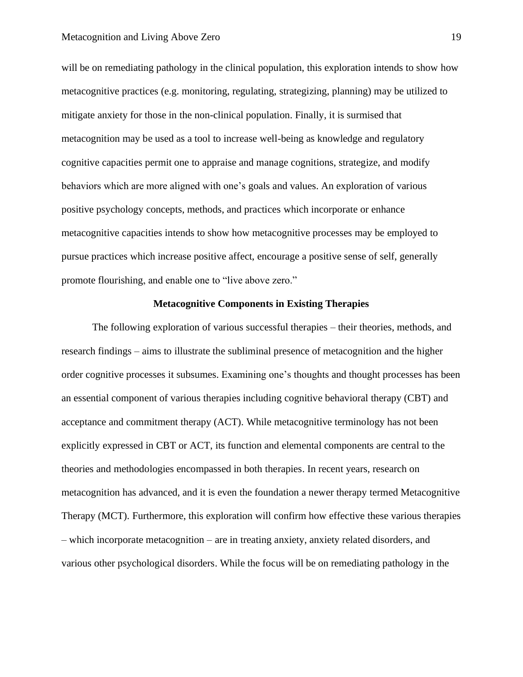will be on remediating pathology in the clinical population, this exploration intends to show how metacognitive practices (e.g. monitoring, regulating, strategizing, planning) may be utilized to mitigate anxiety for those in the non-clinical population. Finally, it is surmised that metacognition may be used as a tool to increase well-being as knowledge and regulatory cognitive capacities permit one to appraise and manage cognitions, strategize, and modify behaviors which are more aligned with one's goals and values. An exploration of various positive psychology concepts, methods, and practices which incorporate or enhance metacognitive capacities intends to show how metacognitive processes may be employed to pursue practices which increase positive affect, encourage a positive sense of self, generally promote flourishing, and enable one to "live above zero."

#### **Metacognitive Components in Existing Therapies**

The following exploration of various successful therapies – their theories, methods, and research findings – aims to illustrate the subliminal presence of metacognition and the higher order cognitive processes it subsumes. Examining one's thoughts and thought processes has been an essential component of various therapies including cognitive behavioral therapy (CBT) and acceptance and commitment therapy (ACT). While metacognitive terminology has not been explicitly expressed in CBT or ACT, its function and elemental components are central to the theories and methodologies encompassed in both therapies. In recent years, research on metacognition has advanced, and it is even the foundation a newer therapy termed Metacognitive Therapy (MCT). Furthermore, this exploration will confirm how effective these various therapies – which incorporate metacognition – are in treating anxiety, anxiety related disorders, and various other psychological disorders. While the focus will be on remediating pathology in the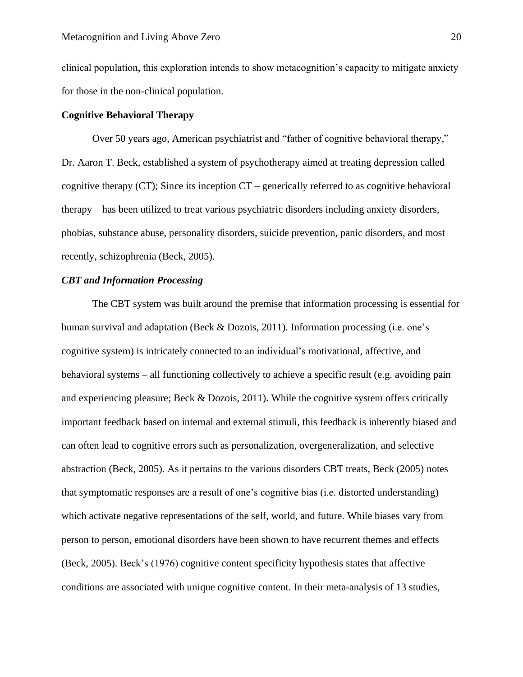clinical population, this exploration intends to show metacognition's capacity to mitigate anxiety for those in the non-clinical population.

## **Cognitive Behavioral Therapy**

Over 50 years ago, American psychiatrist and "father of cognitive behavioral therapy," Dr. Aaron T. Beck, established a system of psychotherapy aimed at treating depression called cognitive therapy (CT); Since its inception CT – generically referred to as cognitive behavioral therapy – has been utilized to treat various psychiatric disorders including anxiety disorders, phobias, substance abuse, personality disorders, suicide prevention, panic disorders, and most recently, schizophrenia (Beck, 2005).

## *CBT and Information Processing*

The CBT system was built around the premise that information processing is essential for human survival and adaptation (Beck & Dozois, 2011). Information processing (i.e. one's cognitive system) is intricately connected to an individual's motivational, affective, and behavioral systems – all functioning collectively to achieve a specific result (e.g. avoiding pain and experiencing pleasure; Beck & Dozois, 2011). While the cognitive system offers critically important feedback based on internal and external stimuli, this feedback is inherently biased and can often lead to cognitive errors such as personalization, overgeneralization, and selective abstraction (Beck, 2005). As it pertains to the various disorders CBT treats, Beck (2005) notes that symptomatic responses are a result of one's cognitive bias (i.e. distorted understanding) which activate negative representations of the self, world, and future. While biases vary from person to person, emotional disorders have been shown to have recurrent themes and effects (Beck, 2005). Beck's (1976) cognitive content specificity hypothesis states that affective conditions are associated with unique cognitive content. In their meta-analysis of 13 studies,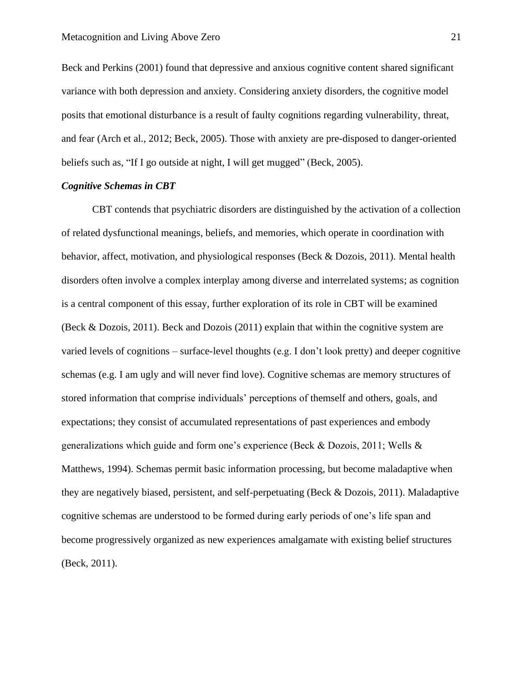Beck and Perkins (2001) found that depressive and anxious cognitive content shared significant variance with both depression and anxiety. Considering anxiety disorders, the cognitive model posits that emotional disturbance is a result of faulty cognitions regarding vulnerability, threat, and fear (Arch et al., 2012; Beck, 2005). Those with anxiety are pre-disposed to danger-oriented beliefs such as, "If I go outside at night, I will get mugged" (Beck, 2005).

#### *Cognitive Schemas in CBT*

CBT contends that psychiatric disorders are distinguished by the activation of a collection of related dysfunctional meanings, beliefs, and memories, which operate in coordination with behavior, affect, motivation, and physiological responses (Beck & Dozois, 2011). Mental health disorders often involve a complex interplay among diverse and interrelated systems; as cognition is a central component of this essay, further exploration of its role in CBT will be examined (Beck & Dozois, 2011). Beck and Dozois (2011) explain that within the cognitive system are varied levels of cognitions – surface-level thoughts (e.g. I don't look pretty) and deeper cognitive schemas (e.g. I am ugly and will never find love). Cognitive schemas are memory structures of stored information that comprise individuals' perceptions of themself and others, goals, and expectations; they consist of accumulated representations of past experiences and embody generalizations which guide and form one's experience (Beck & Dozois, 2011; Wells & Matthews, 1994). Schemas permit basic information processing, but become maladaptive when they are negatively biased, persistent, and self-perpetuating (Beck & Dozois, 2011). Maladaptive cognitive schemas are understood to be formed during early periods of one's life span and become progressively organized as new experiences amalgamate with existing belief structures (Beck, 2011).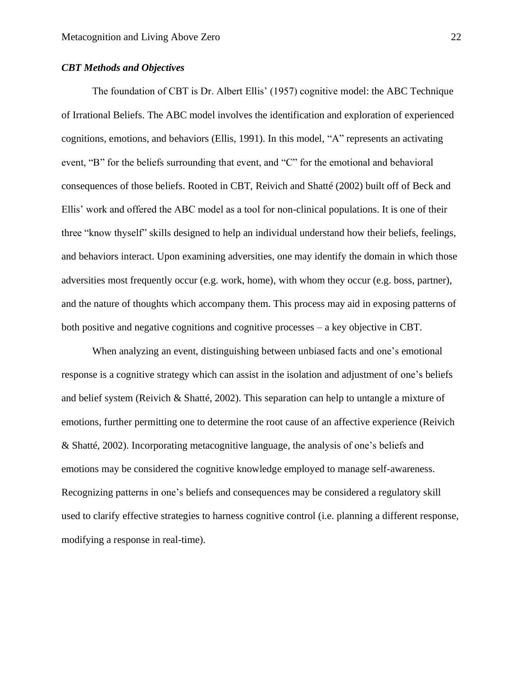## *CBT Methods and Objectives*

The foundation of CBT is Dr. Albert Ellis' (1957) cognitive model: the ABC Technique of Irrational Beliefs. The ABC model involves the identification and exploration of experienced cognitions, emotions, and behaviors (Ellis, 1991). In this model, "A" represents an activating event, "B" for the beliefs surrounding that event, and "C" for the emotional and behavioral consequences of those beliefs. Rooted in CBT, Reivich and Shatté (2002) built off of Beck and Ellis' work and offered the ABC model as a tool for non-clinical populations. It is one of their three "know thyself" skills designed to help an individual understand how their beliefs, feelings, and behaviors interact. Upon examining adversities, one may identify the domain in which those adversities most frequently occur (e.g. work, home), with whom they occur (e.g. boss, partner), and the nature of thoughts which accompany them. This process may aid in exposing patterns of both positive and negative cognitions and cognitive processes – a key objective in CBT.

When analyzing an event, distinguishing between unbiased facts and one's emotional response is a cognitive strategy which can assist in the isolation and adjustment of one's beliefs and belief system (Reivich & Shatté, 2002). This separation can help to untangle a mixture of emotions, further permitting one to determine the root cause of an affective experience (Reivich & Shatté, 2002). Incorporating metacognitive language, the analysis of one's beliefs and emotions may be considered the cognitive knowledge employed to manage self-awareness. Recognizing patterns in one's beliefs and consequences may be considered a regulatory skill used to clarify effective strategies to harness cognitive control (i.e. planning a different response, modifying a response in real-time).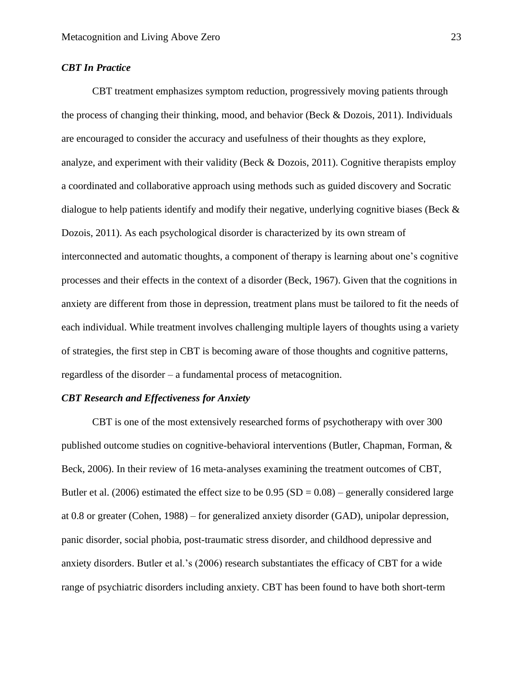## *CBT In Practice*

CBT treatment emphasizes symptom reduction, progressively moving patients through the process of changing their thinking, mood, and behavior (Beck  $\&$  Dozois, 2011). Individuals are encouraged to consider the accuracy and usefulness of their thoughts as they explore, analyze, and experiment with their validity (Beck & Dozois, 2011). Cognitive therapists employ a coordinated and collaborative approach using methods such as guided discovery and Socratic dialogue to help patients identify and modify their negative, underlying cognitive biases (Beck & Dozois, 2011). As each psychological disorder is characterized by its own stream of interconnected and automatic thoughts, a component of therapy is learning about one's cognitive processes and their effects in the context of a disorder (Beck, 1967). Given that the cognitions in anxiety are different from those in depression, treatment plans must be tailored to fit the needs of each individual. While treatment involves challenging multiple layers of thoughts using a variety of strategies, the first step in CBT is becoming aware of those thoughts and cognitive patterns, regardless of the disorder – a fundamental process of metacognition.

### *CBT Research and Effectiveness for Anxiety*

CBT is one of the most extensively researched forms of psychotherapy with over 300 published outcome studies on cognitive-behavioral interventions (Butler, Chapman, Forman, & Beck, 2006). In their review of 16 meta-analyses examining the treatment outcomes of CBT, Butler et al. (2006) estimated the effect size to be  $0.95$  (SD =  $0.08$ ) – generally considered large at 0.8 or greater (Cohen, 1988) – for generalized anxiety disorder (GAD), unipolar depression, panic disorder, social phobia, post-traumatic stress disorder, and childhood depressive and anxiety disorders. Butler et al.'s (2006) research substantiates the efficacy of CBT for a wide range of psychiatric disorders including anxiety. CBT has been found to have both short-term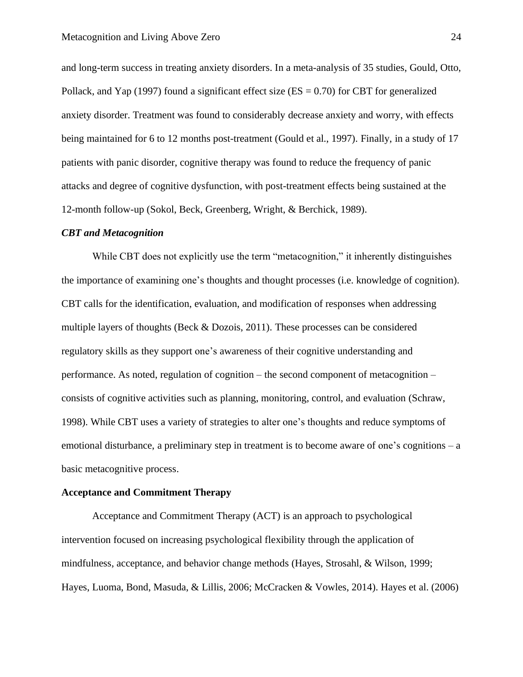and long-term success in treating anxiety disorders. In a meta-analysis of 35 studies, Gould, Otto, Pollack, and Yap (1997) found a significant effect size ( $ES = 0.70$ ) for CBT for generalized anxiety disorder. Treatment was found to considerably decrease anxiety and worry, with effects being maintained for 6 to 12 months post-treatment (Gould et al., 1997). Finally, in a study of 17 patients with panic disorder, cognitive therapy was found to reduce the frequency of panic attacks and degree of cognitive dysfunction, with post-treatment effects being sustained at the 12-month follow-up (Sokol, Beck, Greenberg, Wright, & Berchick, 1989).

#### *CBT and Metacognition*

While CBT does not explicitly use the term "metacognition," it inherently distinguishes the importance of examining one's thoughts and thought processes (i.e. knowledge of cognition). CBT calls for the identification, evaluation, and modification of responses when addressing multiple layers of thoughts (Beck & Dozois, 2011). These processes can be considered regulatory skills as they support one's awareness of their cognitive understanding and performance. As noted, regulation of cognition – the second component of metacognition – consists of cognitive activities such as planning, monitoring, control, and evaluation (Schraw, 1998). While CBT uses a variety of strategies to alter one's thoughts and reduce symptoms of emotional disturbance, a preliminary step in treatment is to become aware of one's cognitions – a basic metacognitive process.

## **Acceptance and Commitment Therapy**

Acceptance and Commitment Therapy (ACT) is an approach to psychological intervention focused on increasing psychological flexibility through the application of mindfulness, acceptance, and behavior change methods (Hayes, Strosahl, & Wilson, 1999; Hayes, Luoma, Bond, Masuda, & Lillis, 2006; McCracken & Vowles, 2014). Hayes et al. (2006)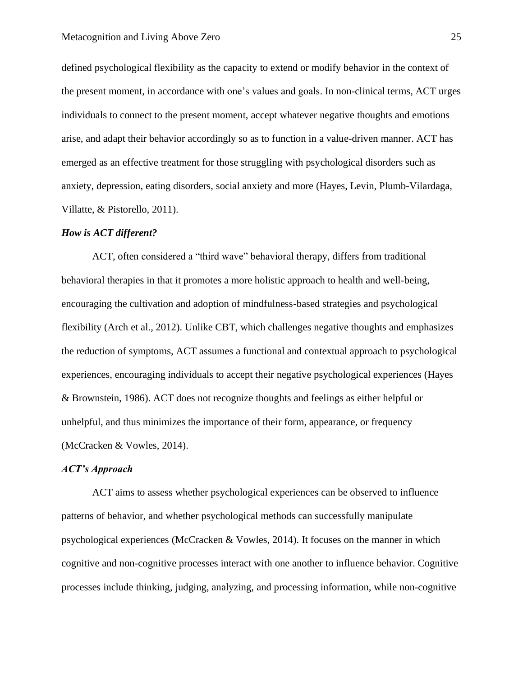defined psychological flexibility as the capacity to extend or modify behavior in the context of the present moment, in accordance with one's values and goals. In non-clinical terms, ACT urges individuals to connect to the present moment, accept whatever negative thoughts and emotions arise, and adapt their behavior accordingly so as to function in a value-driven manner. ACT has emerged as an effective treatment for those struggling with psychological disorders such as anxiety, depression, eating disorders, social anxiety and more (Hayes, Levin, Plumb-Vilardaga, Villatte, & Pistorello, 2011).

#### *How is ACT different?*

ACT, often considered a "third wave" behavioral therapy, differs from traditional behavioral therapies in that it promotes a more holistic approach to health and well-being, encouraging the cultivation and adoption of mindfulness-based strategies and psychological flexibility (Arch et al., 2012). Unlike CBT, which challenges negative thoughts and emphasizes the reduction of symptoms, ACT assumes a functional and contextual approach to psychological experiences, encouraging individuals to accept their negative psychological experiences (Hayes & Brownstein, 1986). ACT does not recognize thoughts and feelings as either helpful or unhelpful, and thus minimizes the importance of their form, appearance, or frequency (McCracken & Vowles, 2014).

## *ACT's Approach*

ACT aims to assess whether psychological experiences can be observed to influence patterns of behavior, and whether psychological methods can successfully manipulate psychological experiences (McCracken & Vowles, 2014). It focuses on the manner in which cognitive and non-cognitive processes interact with one another to influence behavior. Cognitive processes include thinking, judging, analyzing, and processing information, while non-cognitive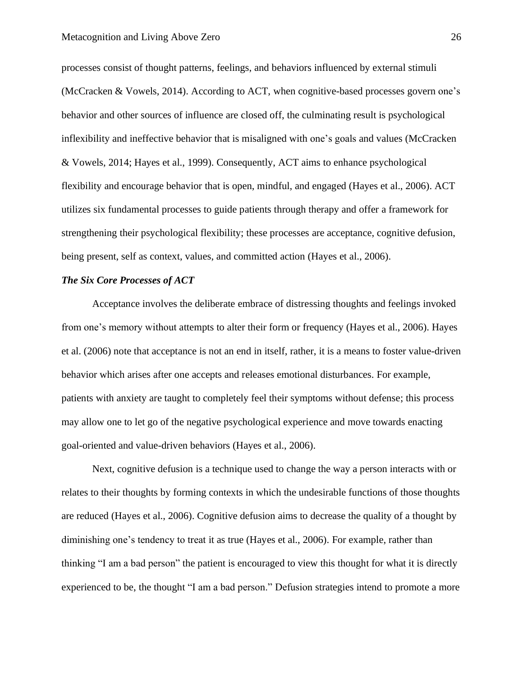processes consist of thought patterns, feelings, and behaviors influenced by external stimuli (McCracken & Vowels, 2014). According to ACT, when cognitive-based processes govern one's behavior and other sources of influence are closed off, the culminating result is psychological inflexibility and ineffective behavior that is misaligned with one's goals and values (McCracken & Vowels, 2014; Hayes et al., 1999). Consequently, ACT aims to enhance psychological flexibility and encourage behavior that is open, mindful, and engaged (Hayes et al., 2006). ACT utilizes six fundamental processes to guide patients through therapy and offer a framework for strengthening their psychological flexibility; these processes are acceptance, cognitive defusion, being present, self as context, values, and committed action (Hayes et al., 2006).

## *The Six Core Processes of ACT*

Acceptance involves the deliberate embrace of distressing thoughts and feelings invoked from one's memory without attempts to alter their form or frequency (Hayes et al., 2006). Hayes et al. (2006) note that acceptance is not an end in itself, rather, it is a means to foster value-driven behavior which arises after one accepts and releases emotional disturbances. For example, patients with anxiety are taught to completely feel their symptoms without defense; this process may allow one to let go of the negative psychological experience and move towards enacting goal-oriented and value-driven behaviors (Hayes et al., 2006).

Next, cognitive defusion is a technique used to change the way a person interacts with or relates to their thoughts by forming contexts in which the undesirable functions of those thoughts are reduced (Hayes et al., 2006). Cognitive defusion aims to decrease the quality of a thought by diminishing one's tendency to treat it as true (Hayes et al., 2006). For example, rather than thinking "I am a bad person" the patient is encouraged to view this thought for what it is directly experienced to be, the thought "I am a bad person." Defusion strategies intend to promote a more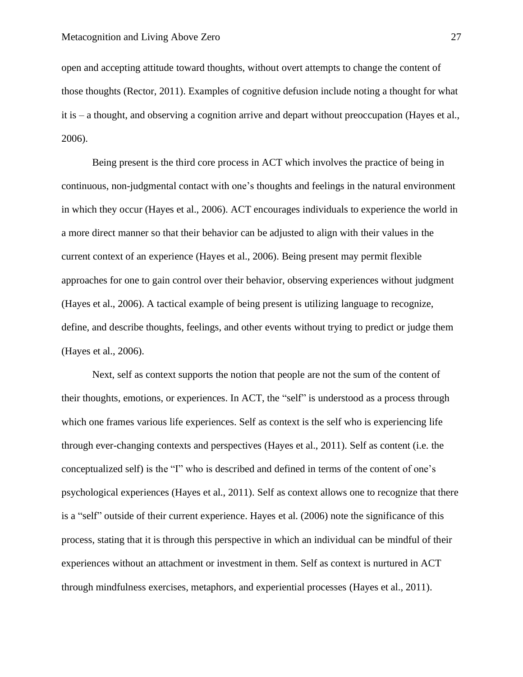open and accepting attitude toward thoughts, without overt attempts to change the content of those thoughts (Rector, 2011). Examples of cognitive defusion include noting a thought for what it is – a thought, and observing a cognition arrive and depart without preoccupation (Hayes et al., 2006).

Being present is the third core process in ACT which involves the practice of being in continuous, non-judgmental contact with one's thoughts and feelings in the natural environment in which they occur (Hayes et al., 2006). ACT encourages individuals to experience the world in a more direct manner so that their behavior can be adjusted to align with their values in the current context of an experience (Hayes et al., 2006). Being present may permit flexible approaches for one to gain control over their behavior, observing experiences without judgment (Hayes et al., 2006). A tactical example of being present is utilizing language to recognize, define, and describe thoughts, feelings, and other events without trying to predict or judge them (Hayes et al., 2006).

Next, self as context supports the notion that people are not the sum of the content of their thoughts, emotions, or experiences. In ACT, the "self" is understood as a process through which one frames various life experiences. Self as context is the self who is experiencing life through ever-changing contexts and perspectives (Hayes et al., 2011). Self as content (i.e. the conceptualized self) is the "I" who is described and defined in terms of the content of one's psychological experiences (Hayes et al., 2011). Self as context allows one to recognize that there is a "self" outside of their current experience. Hayes et al. (2006) note the significance of this process, stating that it is through this perspective in which an individual can be mindful of their experiences without an attachment or investment in them. Self as context is nurtured in ACT through mindfulness exercises, metaphors, and experiential processes (Hayes et al., 2011).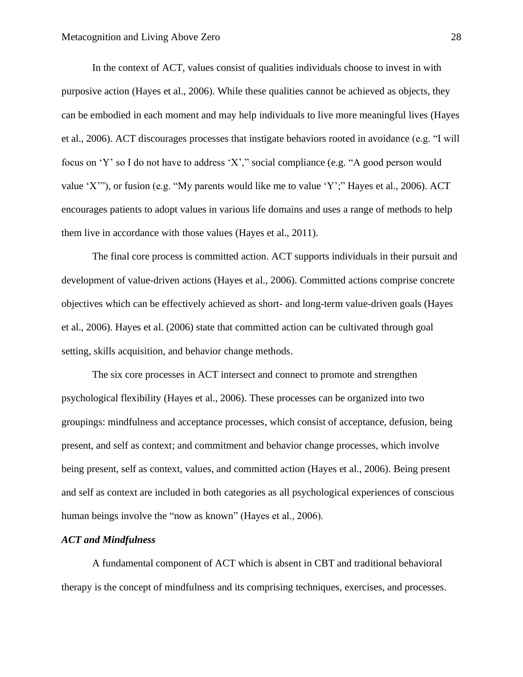In the context of ACT, values consist of qualities individuals choose to invest in with purposive action (Hayes et al., 2006). While these qualities cannot be achieved as objects, they can be embodied in each moment and may help individuals to live more meaningful lives (Hayes et al., 2006). ACT discourages processes that instigate behaviors rooted in avoidance (e.g. "I will focus on 'Y' so I do not have to address 'X'," social compliance (e.g. "A good person would value 'X'"), or fusion (e.g. "My parents would like me to value 'Y';" Hayes et al., 2006). ACT encourages patients to adopt values in various life domains and uses a range of methods to help them live in accordance with those values (Hayes et al., 2011).

The final core process is committed action. ACT supports individuals in their pursuit and development of value-driven actions (Hayes et al., 2006). Committed actions comprise concrete objectives which can be effectively achieved as short- and long-term value-driven goals (Hayes et al., 2006). Hayes et al. (2006) state that committed action can be cultivated through goal setting, skills acquisition, and behavior change methods.

The six core processes in ACT intersect and connect to promote and strengthen psychological flexibility (Hayes et al., 2006). These processes can be organized into two groupings: mindfulness and acceptance processes, which consist of acceptance, defusion, being present, and self as context; and commitment and behavior change processes, which involve being present, self as context, values, and committed action (Hayes et al., 2006). Being present and self as context are included in both categories as all psychological experiences of conscious human beings involve the "now as known" (Hayes et al., 2006).

#### *ACT and Mindfulness*

A fundamental component of ACT which is absent in CBT and traditional behavioral therapy is the concept of mindfulness and its comprising techniques, exercises, and processes.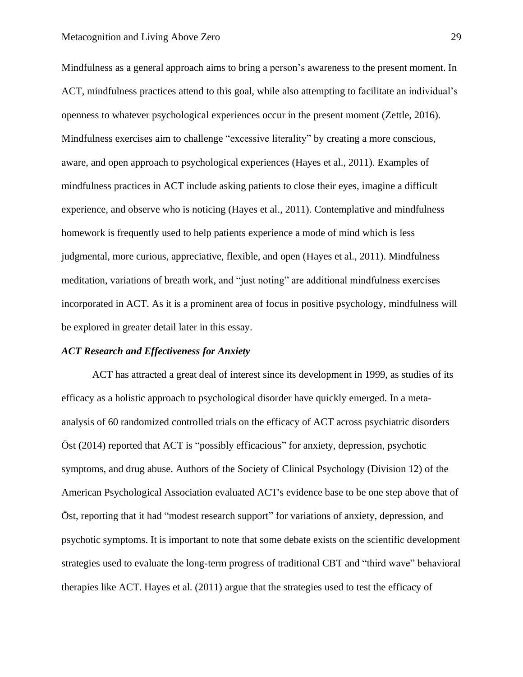Mindfulness as a general approach aims to bring a person's awareness to the present moment. In ACT, mindfulness practices attend to this goal, while also attempting to facilitate an individual's openness to whatever psychological experiences occur in the present moment (Zettle, 2016). Mindfulness exercises aim to challenge "excessive literality" by creating a more conscious, aware, and open approach to psychological experiences (Hayes et al., 2011). Examples of mindfulness practices in ACT include asking patients to close their eyes, imagine a difficult experience, and observe who is noticing (Hayes et al., 2011). Contemplative and mindfulness homework is frequently used to help patients experience a mode of mind which is less judgmental, more curious, appreciative, flexible, and open (Hayes et al., 2011). Mindfulness meditation, variations of breath work, and "just noting" are additional mindfulness exercises incorporated in ACT. As it is a prominent area of focus in positive psychology, mindfulness will be explored in greater detail later in this essay.

#### *ACT Research and Effectiveness for Anxiety*

ACT has attracted a great deal of interest since its development in 1999, as studies of its efficacy as a holistic approach to psychological disorder have quickly emerged. In a metaanalysis of 60 randomized controlled trials on the efficacy of ACT across psychiatric disorders Öst (2014) reported that ACT is "possibly efficacious" for anxiety, depression, psychotic symptoms, and drug abuse. Authors of the Society of Clinical Psychology (Division 12) of the American Psychological Association evaluated ACT's evidence base to be one step above that of Öst, reporting that it had "modest research support" for variations of anxiety, depression, and psychotic symptoms. It is important to note that some debate exists on the scientific development strategies used to evaluate the long-term progress of traditional CBT and "third wave" behavioral therapies like ACT. Hayes et al. (2011) argue that the strategies used to test the efficacy of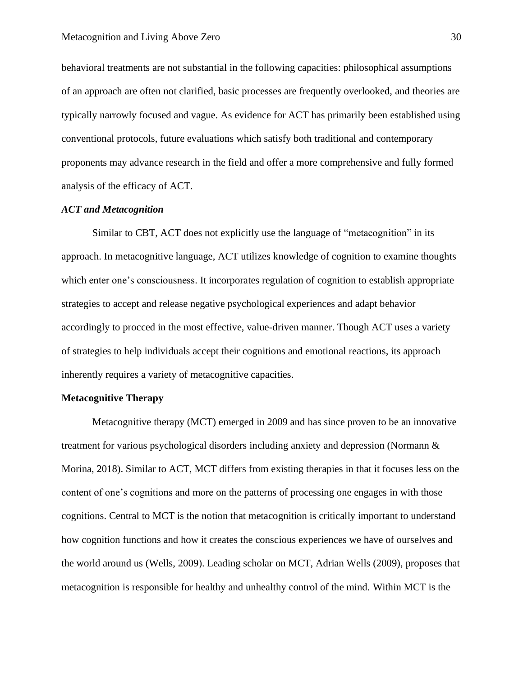behavioral treatments are not substantial in the following capacities: philosophical assumptions of an approach are often not clarified, basic processes are frequently overlooked, and theories are typically narrowly focused and vague. As evidence for ACT has primarily been established using conventional protocols, future evaluations which satisfy both traditional and contemporary proponents may advance research in the field and offer a more comprehensive and fully formed analysis of the efficacy of ACT.

#### *ACT and Metacognition*

Similar to CBT, ACT does not explicitly use the language of "metacognition" in its approach. In metacognitive language, ACT utilizes knowledge of cognition to examine thoughts which enter one's consciousness. It incorporates regulation of cognition to establish appropriate strategies to accept and release negative psychological experiences and adapt behavior accordingly to procced in the most effective, value-driven manner. Though ACT uses a variety of strategies to help individuals accept their cognitions and emotional reactions, its approach inherently requires a variety of metacognitive capacities.

#### **Metacognitive Therapy**

Metacognitive therapy (MCT) emerged in 2009 and has since proven to be an innovative treatment for various psychological disorders including anxiety and depression (Normann & Morina, 2018). Similar to ACT, MCT differs from existing therapies in that it focuses less on the content of one's cognitions and more on the patterns of processing one engages in with those cognitions. Central to MCT is the notion that metacognition is critically important to understand how cognition functions and how it creates the conscious experiences we have of ourselves and the world around us (Wells, 2009). Leading scholar on MCT, Adrian Wells (2009), proposes that metacognition is responsible for healthy and unhealthy control of the mind. Within MCT is the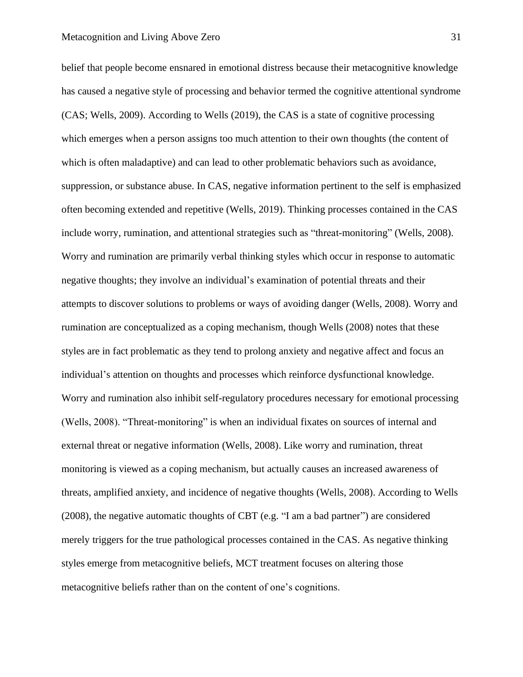belief that people become ensnared in emotional distress because their metacognitive knowledge has caused a negative style of processing and behavior termed the cognitive attentional syndrome (CAS; Wells, 2009). According to Wells (2019), the CAS is a state of cognitive processing which emerges when a person assigns too much attention to their own thoughts (the content of which is often maladaptive) and can lead to other problematic behaviors such as avoidance, suppression, or substance abuse. In CAS, negative information pertinent to the self is emphasized often becoming extended and repetitive (Wells, 2019). Thinking processes contained in the CAS include worry, rumination, and attentional strategies such as "threat-monitoring" (Wells, 2008). Worry and rumination are primarily verbal thinking styles which occur in response to automatic negative thoughts; they involve an individual's examination of potential threats and their attempts to discover solutions to problems or ways of avoiding danger (Wells, 2008). Worry and rumination are conceptualized as a coping mechanism, though Wells (2008) notes that these styles are in fact problematic as they tend to prolong anxiety and negative affect and focus an individual's attention on thoughts and processes which reinforce dysfunctional knowledge. Worry and rumination also inhibit self-regulatory procedures necessary for emotional processing (Wells, 2008). "Threat-monitoring" is when an individual fixates on sources of internal and external threat or negative information (Wells, 2008). Like worry and rumination, threat monitoring is viewed as a coping mechanism, but actually causes an increased awareness of threats, amplified anxiety, and incidence of negative thoughts (Wells, 2008). According to Wells (2008), the negative automatic thoughts of CBT (e.g. "I am a bad partner") are considered merely triggers for the true pathological processes contained in the CAS. As negative thinking styles emerge from metacognitive beliefs, MCT treatment focuses on altering those metacognitive beliefs rather than on the content of one's cognitions.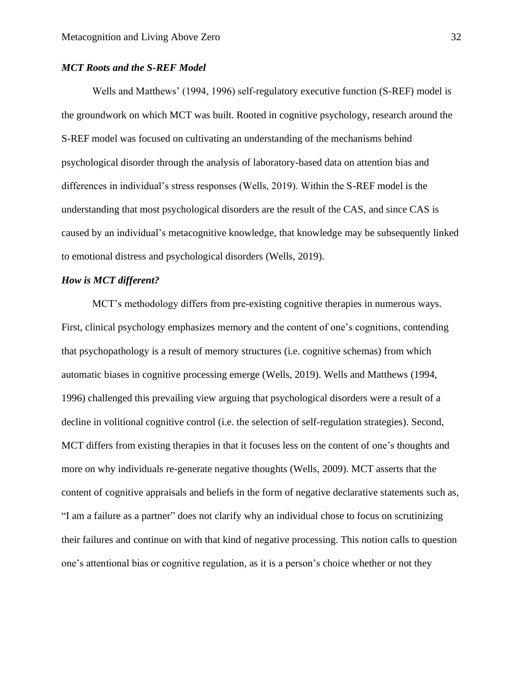## *MCT Roots and the S-REF Model*

Wells and Matthews' (1994, 1996) self-regulatory executive function (S-REF) model is the groundwork on which MCT was built. Rooted in cognitive psychology, research around the S-REF model was focused on cultivating an understanding of the mechanisms behind psychological disorder through the analysis of laboratory-based data on attention bias and differences in individual's stress responses (Wells, 2019). Within the S-REF model is the understanding that most psychological disorders are the result of the CAS, and since CAS is caused by an individual's metacognitive knowledge, that knowledge may be subsequently linked to emotional distress and psychological disorders (Wells, 2019).

## *How is MCT different?*

MCT's methodology differs from pre-existing cognitive therapies in numerous ways. First, clinical psychology emphasizes memory and the content of one's cognitions, contending that psychopathology is a result of memory structures (i.e. cognitive schemas) from which automatic biases in cognitive processing emerge (Wells, 2019). Wells and Matthews (1994, 1996) challenged this prevailing view arguing that psychological disorders were a result of a decline in volitional cognitive control (i.e. the selection of self-regulation strategies). Second, MCT differs from existing therapies in that it focuses less on the content of one's thoughts and more on why individuals re-generate negative thoughts (Wells, 2009). MCT asserts that the content of cognitive appraisals and beliefs in the form of negative declarative statements such as, "I am a failure as a partner" does not clarify why an individual chose to focus on scrutinizing their failures and continue on with that kind of negative processing. This notion calls to question one's attentional bias or cognitive regulation, as it is a person's choice whether or not they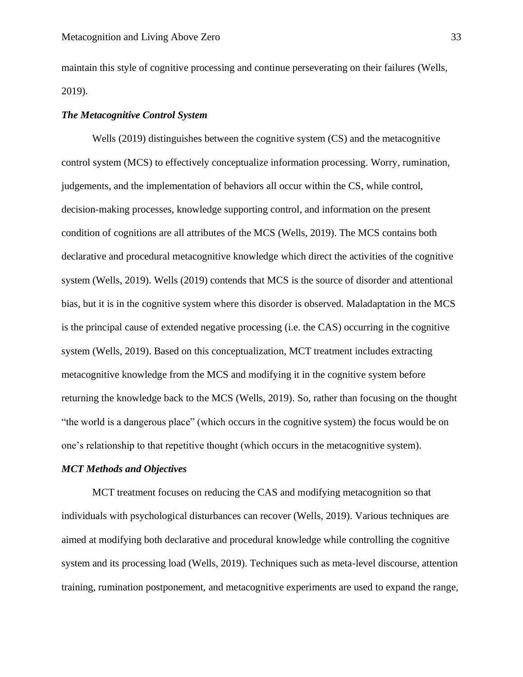maintain this style of cognitive processing and continue perseverating on their failures (Wells, 2019).

## *The Metacognitive Control System*

Wells (2019) distinguishes between the cognitive system (CS) and the metacognitive control system (MCS) to effectively conceptualize information processing. Worry, rumination, judgements, and the implementation of behaviors all occur within the CS, while control, decision-making processes, knowledge supporting control, and information on the present condition of cognitions are all attributes of the MCS (Wells, 2019). The MCS contains both declarative and procedural metacognitive knowledge which direct the activities of the cognitive system (Wells, 2019). Wells (2019) contends that MCS is the source of disorder and attentional bias, but it is in the cognitive system where this disorder is observed. Maladaptation in the MCS is the principal cause of extended negative processing (i.e. the CAS) occurring in the cognitive system (Wells, 2019). Based on this conceptualization, MCT treatment includes extracting metacognitive knowledge from the MCS and modifying it in the cognitive system before returning the knowledge back to the MCS (Wells, 2019). So, rather than focusing on the thought "the world is a dangerous place" (which occurs in the cognitive system) the focus would be on one's relationship to that repetitive thought (which occurs in the metacognitive system).

## *MCT Methods and Objectives*

MCT treatment focuses on reducing the CAS and modifying metacognition so that individuals with psychological disturbances can recover (Wells, 2019). Various techniques are aimed at modifying both declarative and procedural knowledge while controlling the cognitive system and its processing load (Wells, 2019). Techniques such as meta-level discourse, attention training, rumination postponement, and metacognitive experiments are used to expand the range,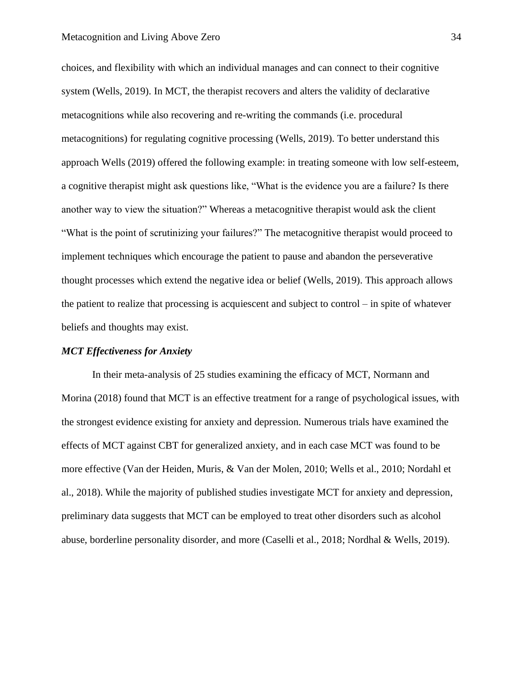choices, and flexibility with which an individual manages and can connect to their cognitive system (Wells, 2019). In MCT, the therapist recovers and alters the validity of declarative metacognitions while also recovering and re-writing the commands (i.e. procedural metacognitions) for regulating cognitive processing (Wells, 2019). To better understand this approach Wells (2019) offered the following example: in treating someone with low self-esteem, a cognitive therapist might ask questions like, "What is the evidence you are a failure? Is there another way to view the situation?" Whereas a metacognitive therapist would ask the client "What is the point of scrutinizing your failures?" The metacognitive therapist would proceed to implement techniques which encourage the patient to pause and abandon the perseverative thought processes which extend the negative idea or belief (Wells, 2019). This approach allows the patient to realize that processing is acquiescent and subject to control – in spite of whatever beliefs and thoughts may exist.

## *MCT Effectiveness for Anxiety*

In their meta-analysis of 25 studies examining the efficacy of MCT, Normann and Morina (2018) found that MCT is an effective treatment for a range of psychological issues, with the strongest evidence existing for anxiety and depression. Numerous trials have examined the effects of MCT against CBT for generalized anxiety, and in each case MCT was found to be more effective (Van der Heiden, Muris, & Van der Molen, 2010; Wells et al., 2010; Nordahl et al., 2018). While the majority of published studies investigate MCT for anxiety and depression, preliminary data suggests that MCT can be employed to treat other disorders such as alcohol abuse, borderline personality disorder, and more (Caselli et al., 2018; Nordhal & Wells, 2019).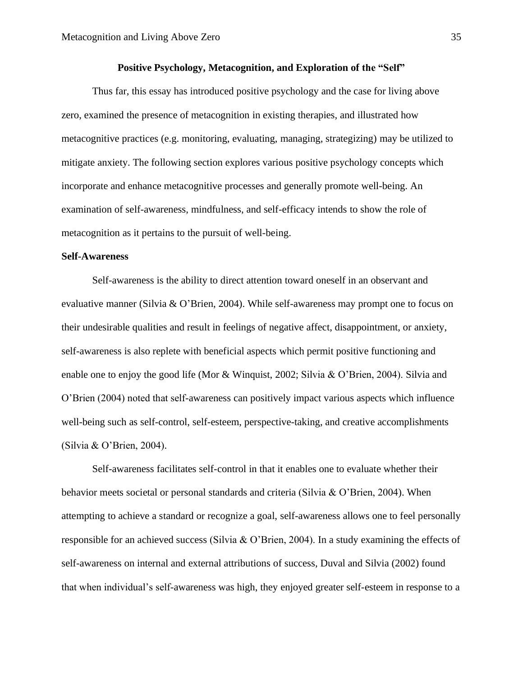## **Positive Psychology, Metacognition, and Exploration of the "Self"**

Thus far, this essay has introduced positive psychology and the case for living above zero, examined the presence of metacognition in existing therapies, and illustrated how metacognitive practices (e.g. monitoring, evaluating, managing, strategizing) may be utilized to mitigate anxiety. The following section explores various positive psychology concepts which incorporate and enhance metacognitive processes and generally promote well-being. An examination of self-awareness, mindfulness, and self-efficacy intends to show the role of metacognition as it pertains to the pursuit of well-being.

## **Self-Awareness**

Self-awareness is the ability to direct attention toward oneself in an observant and evaluative manner (Silvia & O'Brien, 2004). While self-awareness may prompt one to focus on their undesirable qualities and result in feelings of negative affect, disappointment, or anxiety, self-awareness is also replete with beneficial aspects which permit positive functioning and enable one to enjoy the good life (Mor & Winquist, 2002; Silvia & O'Brien, 2004). Silvia and O'Brien (2004) noted that self-awareness can positively impact various aspects which influence well-being such as self-control, self-esteem, perspective-taking, and creative accomplishments (Silvia & O'Brien, 2004).

Self-awareness facilitates self-control in that it enables one to evaluate whether their behavior meets societal or personal standards and criteria (Silvia & O'Brien, 2004). When attempting to achieve a standard or recognize a goal, self-awareness allows one to feel personally responsible for an achieved success (Silvia & O'Brien, 2004). In a study examining the effects of self-awareness on internal and external attributions of success, Duval and Silvia (2002) found that when individual's self-awareness was high, they enjoyed greater self-esteem in response to a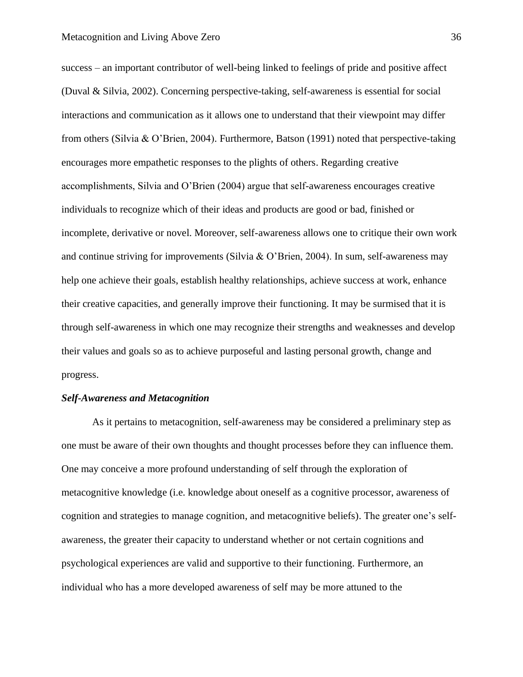success – an important contributor of well-being linked to feelings of pride and positive affect (Duval & Silvia, 2002). Concerning perspective-taking, self-awareness is essential for social interactions and communication as it allows one to understand that their viewpoint may differ from others (Silvia & O'Brien, 2004). Furthermore, Batson (1991) noted that perspective-taking encourages more empathetic responses to the plights of others. Regarding creative accomplishments, Silvia and O'Brien (2004) argue that self-awareness encourages creative individuals to recognize which of their ideas and products are good or bad, finished or incomplete, derivative or novel. Moreover, self-awareness allows one to critique their own work and continue striving for improvements (Silvia & O'Brien, 2004). In sum, self-awareness may help one achieve their goals, establish healthy relationships, achieve success at work, enhance their creative capacities, and generally improve their functioning. It may be surmised that it is through self-awareness in which one may recognize their strengths and weaknesses and develop their values and goals so as to achieve purposeful and lasting personal growth, change and progress.

### *Self-Awareness and Metacognition*

As it pertains to metacognition, self-awareness may be considered a preliminary step as one must be aware of their own thoughts and thought processes before they can influence them. One may conceive a more profound understanding of self through the exploration of metacognitive knowledge (i.e. knowledge about oneself as a cognitive processor, awareness of cognition and strategies to manage cognition, and metacognitive beliefs). The greater one's selfawareness, the greater their capacity to understand whether or not certain cognitions and psychological experiences are valid and supportive to their functioning. Furthermore, an individual who has a more developed awareness of self may be more attuned to the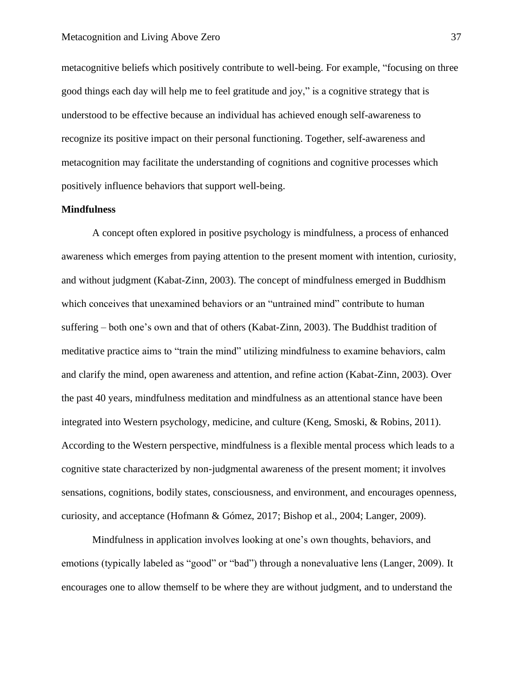metacognitive beliefs which positively contribute to well-being. For example, "focusing on three good things each day will help me to feel gratitude and joy," is a cognitive strategy that is understood to be effective because an individual has achieved enough self-awareness to recognize its positive impact on their personal functioning. Together, self-awareness and metacognition may facilitate the understanding of cognitions and cognitive processes which positively influence behaviors that support well-being.

## **Mindfulness**

A concept often explored in positive psychology is mindfulness, a process of enhanced awareness which emerges from paying attention to the present moment with intention, curiosity, and without judgment (Kabat-Zinn, 2003). The concept of mindfulness emerged in Buddhism which conceives that unexamined behaviors or an "untrained mind" contribute to human suffering – both one's own and that of others (Kabat-Zinn, 2003). The Buddhist tradition of meditative practice aims to "train the mind" utilizing mindfulness to examine behaviors, calm and clarify the mind, open awareness and attention, and refine action (Kabat-Zinn, 2003). Over the past 40 years, mindfulness meditation and mindfulness as an attentional stance have been integrated into Western psychology, medicine, and culture (Keng, Smoski, & Robins, 2011). According to the Western perspective, mindfulness is a flexible mental process which leads to a cognitive state characterized by non-judgmental awareness of the present moment; it involves sensations, cognitions, bodily states, consciousness, and environment, and encourages openness, curiosity, and acceptance (Hofmann & Gómez, 2017; Bishop et al., 2004; Langer, 2009).

Mindfulness in application involves looking at one's own thoughts, behaviors, and emotions (typically labeled as "good" or "bad") through a nonevaluative lens (Langer, 2009). It encourages one to allow themself to be where they are without judgment, and to understand the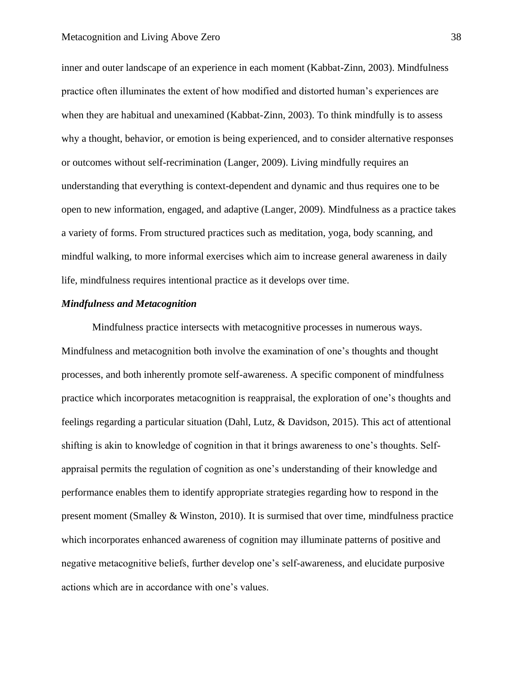inner and outer landscape of an experience in each moment (Kabbat-Zinn, 2003). Mindfulness practice often illuminates the extent of how modified and distorted human's experiences are when they are habitual and unexamined (Kabbat-Zinn, 2003). To think mindfully is to assess why a thought, behavior, or emotion is being experienced, and to consider alternative responses or outcomes without self-recrimination (Langer, 2009). Living mindfully requires an understanding that everything is context-dependent and dynamic and thus requires one to be open to new information, engaged, and adaptive (Langer, 2009). Mindfulness as a practice takes a variety of forms. From structured practices such as meditation, yoga, body scanning, and mindful walking, to more informal exercises which aim to increase general awareness in daily life, mindfulness requires intentional practice as it develops over time.

#### *Mindfulness and Metacognition*

Mindfulness practice intersects with metacognitive processes in numerous ways. Mindfulness and metacognition both involve the examination of one's thoughts and thought processes, and both inherently promote self-awareness. A specific component of mindfulness practice which incorporates metacognition is reappraisal, the exploration of one's thoughts and feelings regarding a particular situation (Dahl, Lutz, & Davidson, 2015). This act of attentional shifting is akin to knowledge of cognition in that it brings awareness to one's thoughts. Selfappraisal permits the regulation of cognition as one's understanding of their knowledge and performance enables them to identify appropriate strategies regarding how to respond in the present moment (Smalley & Winston, 2010). It is surmised that over time, mindfulness practice which incorporates enhanced awareness of cognition may illuminate patterns of positive and negative metacognitive beliefs, further develop one's self-awareness, and elucidate purposive actions which are in accordance with one's values.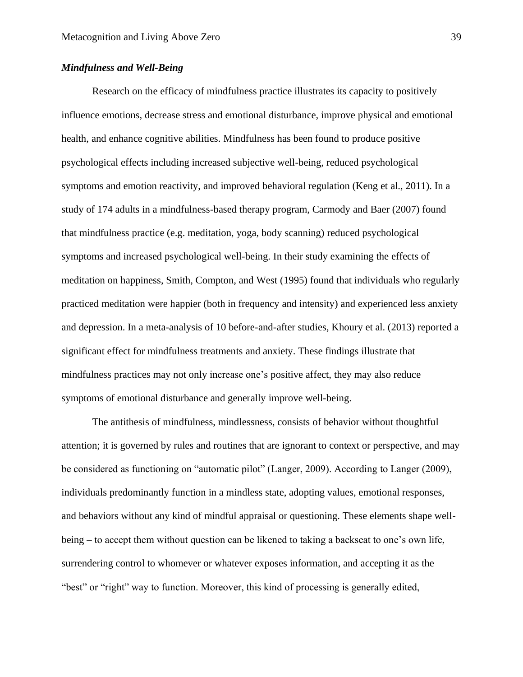## *Mindfulness and Well-Being*

Research on the efficacy of mindfulness practice illustrates its capacity to positively influence emotions, decrease stress and emotional disturbance, improve physical and emotional health, and enhance cognitive abilities. Mindfulness has been found to produce positive psychological effects including increased subjective well-being, reduced psychological symptoms and emotion reactivity, and improved behavioral regulation (Keng et al., 2011). In a study of 174 adults in a mindfulness-based therapy program, Carmody and Baer (2007) found that mindfulness practice (e.g. meditation, yoga, body scanning) reduced psychological symptoms and increased psychological well-being. In their study examining the effects of meditation on happiness, Smith, Compton, and West (1995) found that individuals who regularly practiced meditation were happier (both in frequency and intensity) and experienced less anxiety and depression. In a meta-analysis of 10 before-and-after studies, Khoury et al. (2013) reported a significant effect for mindfulness treatments and anxiety. These findings illustrate that mindfulness practices may not only increase one's positive affect, they may also reduce symptoms of emotional disturbance and generally improve well-being.

The antithesis of mindfulness, mindlessness, consists of behavior without thoughtful attention; it is governed by rules and routines that are ignorant to context or perspective, and may be considered as functioning on "automatic pilot" (Langer, 2009). According to Langer (2009), individuals predominantly function in a mindless state, adopting values, emotional responses, and behaviors without any kind of mindful appraisal or questioning. These elements shape wellbeing – to accept them without question can be likened to taking a backseat to one's own life, surrendering control to whomever or whatever exposes information, and accepting it as the "best" or "right" way to function. Moreover, this kind of processing is generally edited,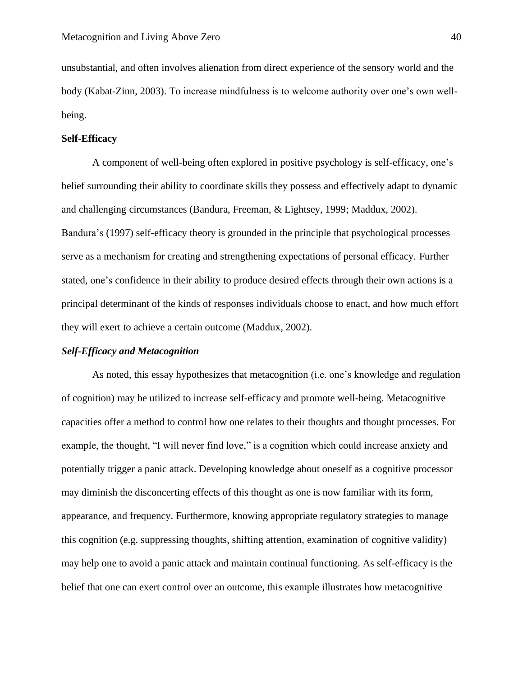unsubstantial, and often involves alienation from direct experience of the sensory world and the body (Kabat-Zinn, 2003). To increase mindfulness is to welcome authority over one's own wellbeing.

## **Self-Efficacy**

A component of well-being often explored in positive psychology is self-efficacy, one's belief surrounding their ability to coordinate skills they possess and effectively adapt to dynamic and challenging circumstances (Bandura, Freeman, & Lightsey, 1999; Maddux, 2002). Bandura's (1997) self-efficacy theory is grounded in the principle that psychological processes serve as a mechanism for creating and strengthening expectations of personal efficacy. Further stated, one's confidence in their ability to produce desired effects through their own actions is a principal determinant of the kinds of responses individuals choose to enact, and how much effort they will exert to achieve a certain outcome (Maddux, 2002).

#### *Self-Efficacy and Metacognition*

As noted, this essay hypothesizes that metacognition (i.e. one's knowledge and regulation of cognition) may be utilized to increase self-efficacy and promote well-being. Metacognitive capacities offer a method to control how one relates to their thoughts and thought processes. For example, the thought, "I will never find love," is a cognition which could increase anxiety and potentially trigger a panic attack. Developing knowledge about oneself as a cognitive processor may diminish the disconcerting effects of this thought as one is now familiar with its form, appearance, and frequency. Furthermore, knowing appropriate regulatory strategies to manage this cognition (e.g. suppressing thoughts, shifting attention, examination of cognitive validity) may help one to avoid a panic attack and maintain continual functioning. As self-efficacy is the belief that one can exert control over an outcome, this example illustrates how metacognitive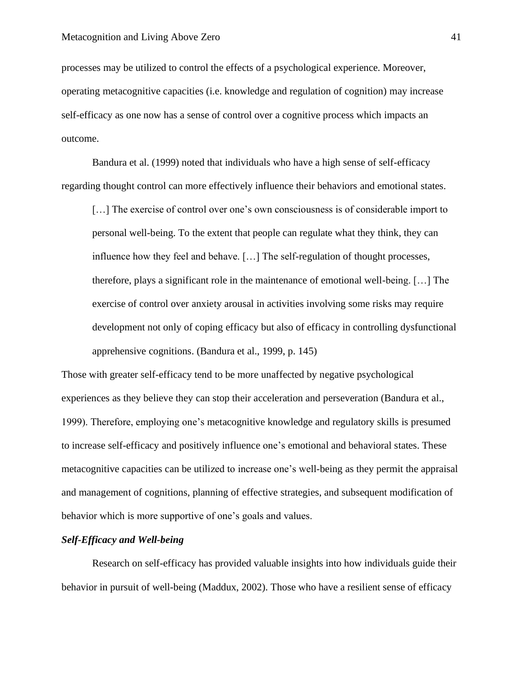processes may be utilized to control the effects of a psychological experience. Moreover, operating metacognitive capacities (i.e. knowledge and regulation of cognition) may increase self-efficacy as one now has a sense of control over a cognitive process which impacts an outcome.

Bandura et al. (1999) noted that individuals who have a high sense of self-efficacy regarding thought control can more effectively influence their behaviors and emotional states.

[...] The exercise of control over one's own consciousness is of considerable import to personal well-being. To the extent that people can regulate what they think, they can influence how they feel and behave. […] The self-regulation of thought processes, therefore, plays a significant role in the maintenance of emotional well-being. […] The exercise of control over anxiety arousal in activities involving some risks may require development not only of coping efficacy but also of efficacy in controlling dysfunctional apprehensive cognitions. (Bandura et al., 1999, p. 145)

Those with greater self-efficacy tend to be more unaffected by negative psychological experiences as they believe they can stop their acceleration and perseveration (Bandura et al., 1999). Therefore, employing one's metacognitive knowledge and regulatory skills is presumed to increase self-efficacy and positively influence one's emotional and behavioral states. These metacognitive capacities can be utilized to increase one's well-being as they permit the appraisal and management of cognitions, planning of effective strategies, and subsequent modification of behavior which is more supportive of one's goals and values.

#### *Self-Efficacy and Well-being*

Research on self-efficacy has provided valuable insights into how individuals guide their behavior in pursuit of well-being (Maddux, 2002). Those who have a resilient sense of efficacy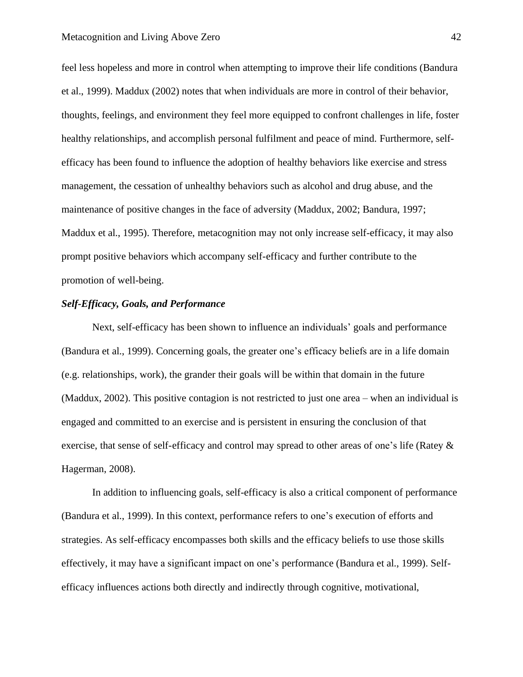feel less hopeless and more in control when attempting to improve their life conditions (Bandura et al., 1999). Maddux (2002) notes that when individuals are more in control of their behavior, thoughts, feelings, and environment they feel more equipped to confront challenges in life, foster healthy relationships, and accomplish personal fulfilment and peace of mind. Furthermore, selfefficacy has been found to influence the adoption of healthy behaviors like exercise and stress management, the cessation of unhealthy behaviors such as alcohol and drug abuse, and the maintenance of positive changes in the face of adversity (Maddux, 2002; Bandura, 1997; Maddux et al., 1995). Therefore, metacognition may not only increase self-efficacy, it may also prompt positive behaviors which accompany self-efficacy and further contribute to the promotion of well-being.

## *Self-Efficacy, Goals, and Performance*

Next, self-efficacy has been shown to influence an individuals' goals and performance (Bandura et al., 1999). Concerning goals, the greater one's efficacy beliefs are in a life domain (e.g. relationships, work), the grander their goals will be within that domain in the future (Maddux, 2002). This positive contagion is not restricted to just one area – when an individual is engaged and committed to an exercise and is persistent in ensuring the conclusion of that exercise, that sense of self-efficacy and control may spread to other areas of one's life (Ratey & Hagerman, 2008).

In addition to influencing goals, self-efficacy is also a critical component of performance (Bandura et al., 1999). In this context, performance refers to one's execution of efforts and strategies. As self-efficacy encompasses both skills and the efficacy beliefs to use those skills effectively, it may have a significant impact on one's performance (Bandura et al., 1999). Selfefficacy influences actions both directly and indirectly through cognitive, motivational,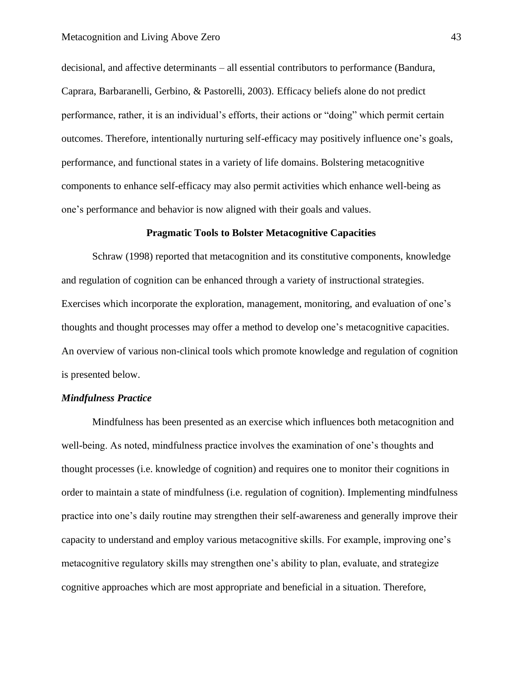decisional, and affective determinants – all essential contributors to performance (Bandura, Caprara, Barbaranelli, Gerbino, & Pastorelli, 2003). Efficacy beliefs alone do not predict performance, rather, it is an individual's efforts, their actions or "doing" which permit certain outcomes. Therefore, intentionally nurturing self-efficacy may positively influence one's goals, performance, and functional states in a variety of life domains. Bolstering metacognitive components to enhance self-efficacy may also permit activities which enhance well-being as one's performance and behavior is now aligned with their goals and values.

#### **Pragmatic Tools to Bolster Metacognitive Capacities**

Schraw (1998) reported that metacognition and its constitutive components, knowledge and regulation of cognition can be enhanced through a variety of instructional strategies. Exercises which incorporate the exploration, management, monitoring, and evaluation of one's thoughts and thought processes may offer a method to develop one's metacognitive capacities. An overview of various non-clinical tools which promote knowledge and regulation of cognition is presented below.

## *Mindfulness Practice*

Mindfulness has been presented as an exercise which influences both metacognition and well-being. As noted, mindfulness practice involves the examination of one's thoughts and thought processes (i.e. knowledge of cognition) and requires one to monitor their cognitions in order to maintain a state of mindfulness (i.e. regulation of cognition). Implementing mindfulness practice into one's daily routine may strengthen their self-awareness and generally improve their capacity to understand and employ various metacognitive skills. For example, improving one's metacognitive regulatory skills may strengthen one's ability to plan, evaluate, and strategize cognitive approaches which are most appropriate and beneficial in a situation. Therefore,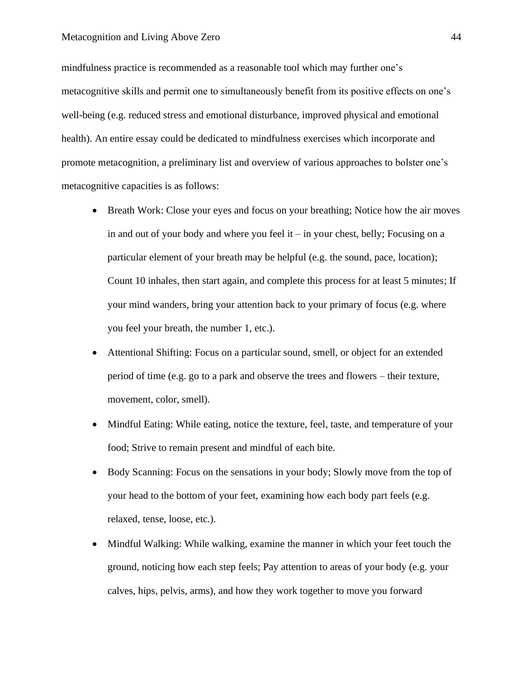#### Metacognition and Living Above Zero 44

mindfulness practice is recommended as a reasonable tool which may further one's metacognitive skills and permit one to simultaneously benefit from its positive effects on one's well-being (e.g. reduced stress and emotional disturbance, improved physical and emotional health). An entire essay could be dedicated to mindfulness exercises which incorporate and promote metacognition, a preliminary list and overview of various approaches to bolster one's metacognitive capacities is as follows:

- Breath Work: Close your eyes and focus on your breathing; Notice how the air moves in and out of your body and where you feel it  $-$  in your chest, belly; Focusing on a particular element of your breath may be helpful (e.g. the sound, pace, location); Count 10 inhales, then start again, and complete this process for at least 5 minutes; If your mind wanders, bring your attention back to your primary of focus (e.g. where you feel your breath, the number 1, etc.).
- Attentional Shifting: Focus on a particular sound, smell, or object for an extended period of time (e.g. go to a park and observe the trees and flowers – their texture, movement, color, smell).
- Mindful Eating: While eating, notice the texture, feel, taste, and temperature of your food; Strive to remain present and mindful of each bite.
- Body Scanning: Focus on the sensations in your body; Slowly move from the top of your head to the bottom of your feet, examining how each body part feels (e.g. relaxed, tense, loose, etc.).
- Mindful Walking: While walking, examine the manner in which your feet touch the ground, noticing how each step feels; Pay attention to areas of your body (e.g. your calves, hips, pelvis, arms), and how they work together to move you forward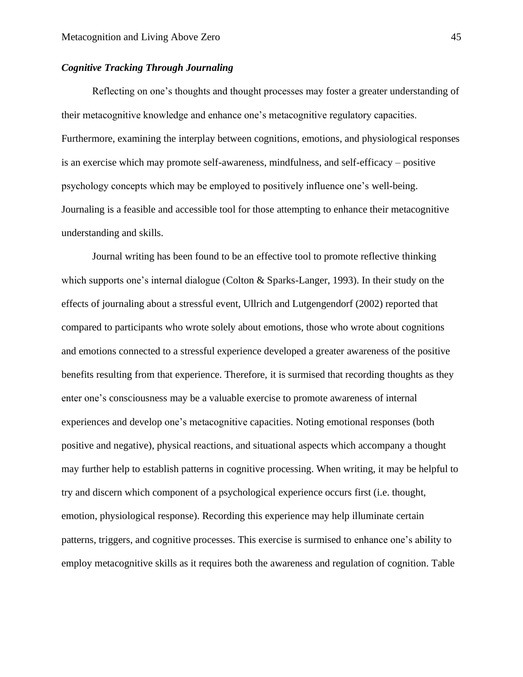## *Cognitive Tracking Through Journaling*

Reflecting on one's thoughts and thought processes may foster a greater understanding of their metacognitive knowledge and enhance one's metacognitive regulatory capacities. Furthermore, examining the interplay between cognitions, emotions, and physiological responses is an exercise which may promote self-awareness, mindfulness, and self-efficacy – positive psychology concepts which may be employed to positively influence one's well-being. Journaling is a feasible and accessible tool for those attempting to enhance their metacognitive understanding and skills.

Journal writing has been found to be an effective tool to promote reflective thinking which supports one's internal dialogue (Colton & Sparks-Langer, 1993). In their study on the effects of journaling about a stressful event, Ullrich and Lutgengendorf (2002) reported that compared to participants who wrote solely about emotions, those who wrote about cognitions and emotions connected to a stressful experience developed a greater awareness of the positive benefits resulting from that experience. Therefore, it is surmised that recording thoughts as they enter one's consciousness may be a valuable exercise to promote awareness of internal experiences and develop one's metacognitive capacities. Noting emotional responses (both positive and negative), physical reactions, and situational aspects which accompany a thought may further help to establish patterns in cognitive processing. When writing, it may be helpful to try and discern which component of a psychological experience occurs first (i.e. thought, emotion, physiological response). Recording this experience may help illuminate certain patterns, triggers, and cognitive processes. This exercise is surmised to enhance one's ability to employ metacognitive skills as it requires both the awareness and regulation of cognition. Table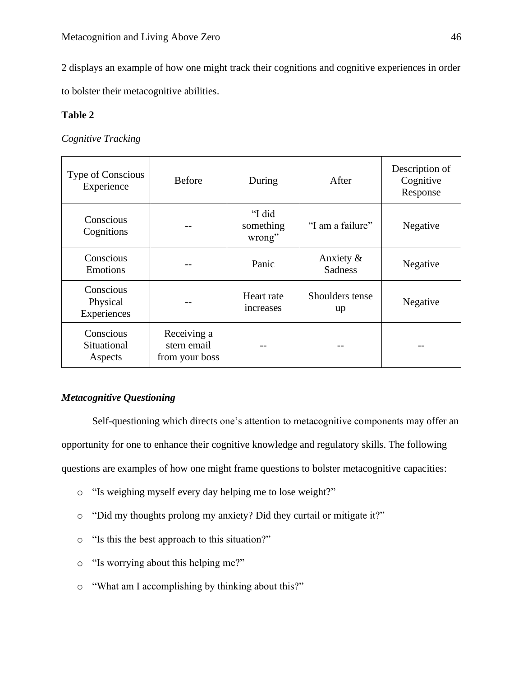2 displays an example of how one might track their cognitions and cognitive experiences in order

to bolster their metacognitive abilities.

## **Table 2**

## *Cognitive Tracking*

| Type of Conscious<br>Experience      | <b>Before</b>                                | During                        | After                          | Description of<br>Cognitive<br>Response |
|--------------------------------------|----------------------------------------------|-------------------------------|--------------------------------|-----------------------------------------|
| Conscious<br>Cognitions              |                                              | "I did<br>something<br>wrong" | "I am a failure"               | Negative                                |
| Conscious<br>Emotions                |                                              | Panic                         | Anxiety $\&$<br><b>Sadness</b> | Negative                                |
| Conscious<br>Physical<br>Experiences |                                              | Heart rate<br>increases       | Shoulders tense<br>up          | Negative                                |
| Conscious<br>Situational<br>Aspects  | Receiving a<br>stern email<br>from your boss |                               |                                |                                         |

## *Metacognitive Questioning*

Self-questioning which directs one's attention to metacognitive components may offer an opportunity for one to enhance their cognitive knowledge and regulatory skills. The following questions are examples of how one might frame questions to bolster metacognitive capacities:

- o "Is weighing myself every day helping me to lose weight?"
- o "Did my thoughts prolong my anxiety? Did they curtail or mitigate it?"
- o "Is this the best approach to this situation?"
- o "Is worrying about this helping me?"
- o "What am I accomplishing by thinking about this?"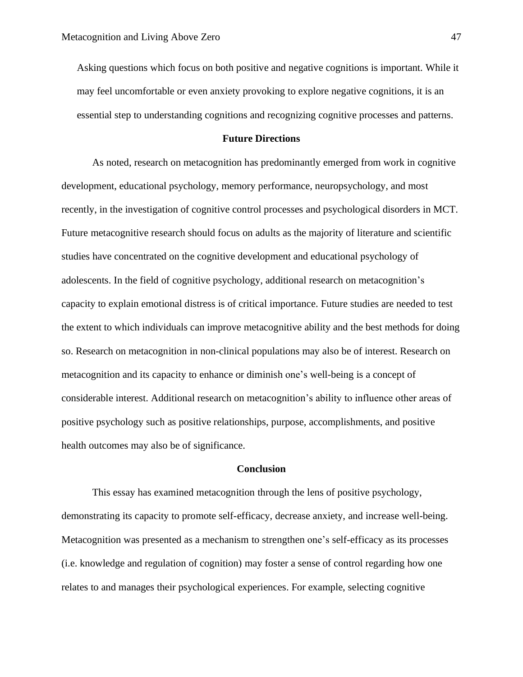Asking questions which focus on both positive and negative cognitions is important. While it may feel uncomfortable or even anxiety provoking to explore negative cognitions, it is an essential step to understanding cognitions and recognizing cognitive processes and patterns.

## **Future Directions**

As noted, research on metacognition has predominantly emerged from work in cognitive development, educational psychology, memory performance, neuropsychology, and most recently, in the investigation of cognitive control processes and psychological disorders in MCT. Future metacognitive research should focus on adults as the majority of literature and scientific studies have concentrated on the cognitive development and educational psychology of adolescents. In the field of cognitive psychology, additional research on metacognition's capacity to explain emotional distress is of critical importance. Future studies are needed to test the extent to which individuals can improve metacognitive ability and the best methods for doing so. Research on metacognition in non-clinical populations may also be of interest. Research on metacognition and its capacity to enhance or diminish one's well-being is a concept of considerable interest. Additional research on metacognition's ability to influence other areas of positive psychology such as positive relationships, purpose, accomplishments, and positive health outcomes may also be of significance.

#### **Conclusion**

This essay has examined metacognition through the lens of positive psychology, demonstrating its capacity to promote self-efficacy, decrease anxiety, and increase well-being. Metacognition was presented as a mechanism to strengthen one's self-efficacy as its processes (i.e. knowledge and regulation of cognition) may foster a sense of control regarding how one relates to and manages their psychological experiences. For example, selecting cognitive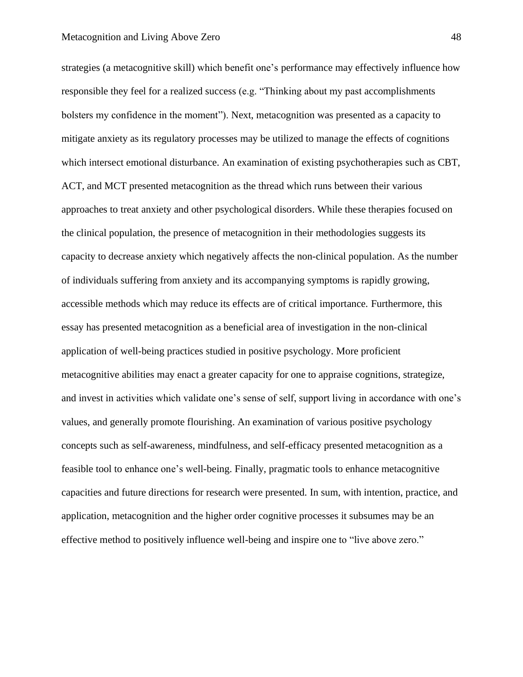strategies (a metacognitive skill) which benefit one's performance may effectively influence how responsible they feel for a realized success (e.g. "Thinking about my past accomplishments bolsters my confidence in the moment"). Next, metacognition was presented as a capacity to mitigate anxiety as its regulatory processes may be utilized to manage the effects of cognitions which intersect emotional disturbance. An examination of existing psychotherapies such as CBT, ACT, and MCT presented metacognition as the thread which runs between their various approaches to treat anxiety and other psychological disorders. While these therapies focused on the clinical population, the presence of metacognition in their methodologies suggests its capacity to decrease anxiety which negatively affects the non-clinical population. As the number of individuals suffering from anxiety and its accompanying symptoms is rapidly growing, accessible methods which may reduce its effects are of critical importance. Furthermore, this essay has presented metacognition as a beneficial area of investigation in the non-clinical application of well-being practices studied in positive psychology. More proficient metacognitive abilities may enact a greater capacity for one to appraise cognitions, strategize, and invest in activities which validate one's sense of self, support living in accordance with one's values, and generally promote flourishing. An examination of various positive psychology concepts such as self-awareness, mindfulness, and self-efficacy presented metacognition as a feasible tool to enhance one's well-being. Finally, pragmatic tools to enhance metacognitive capacities and future directions for research were presented. In sum, with intention, practice, and application, metacognition and the higher order cognitive processes it subsumes may be an effective method to positively influence well-being and inspire one to "live above zero."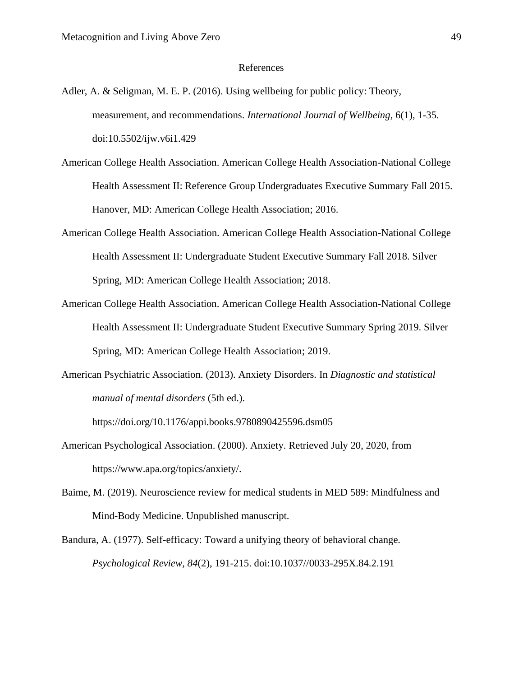#### References

- Adler, A. & Seligman, M. E. P. (2016). Using wellbeing for public policy: Theory, measurement, and recommendations. *International Journal of Wellbeing*, 6(1), 1-35. doi:10.5502/ijw.v6i1.429
- American College Health Association. American College Health Association-National College Health Assessment II: Reference Group Undergraduates Executive Summary Fall 2015. Hanover, MD: American College Health Association; 2016.
- American College Health Association. American College Health Association-National College Health Assessment II: Undergraduate Student Executive Summary Fall 2018. Silver Spring, MD: American College Health Association; 2018.
- American College Health Association. American College Health Association-National College Health Assessment II: Undergraduate Student Executive Summary Spring 2019. Silver Spring, MD: American College Health Association; 2019.
- American Psychiatric Association. (2013). Anxiety Disorders*.* In *Diagnostic and statistical manual of mental disorders* (5th ed.).

https://doi.org/10.1176/appi.books.9780890425596.dsm05

- American Psychological Association. (2000). Anxiety. Retrieved July 20, 2020, from https://www.apa.org/topics/anxiety/.
- Baime, M. (2019). Neuroscience review for medical students in MED 589: Mindfulness and Mind-Body Medicine. Unpublished manuscript.
- Bandura, A. (1977). Self-efficacy: Toward a unifying theory of behavioral change. *Psychological Review, 84*(2), 191-215. doi:10.1037//0033-295X.84.2.191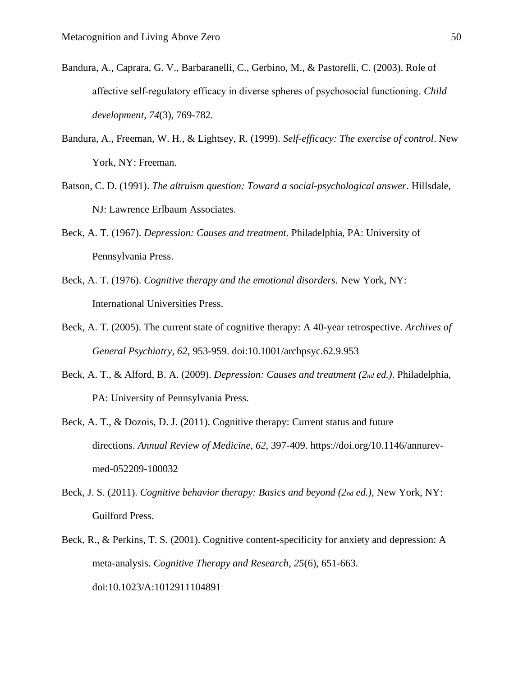- Bandura, A., Caprara, G. V., Barbaranelli, C., Gerbino, M., & Pastorelli, C. (2003). Role of affective self‐regulatory efficacy in diverse spheres of psychosocial functioning. *Child development*, *74*(3), 769-782.
- Bandura, A., Freeman, W. H., & Lightsey, R. (1999). *Self-efficacy: The exercise of control*. New York, NY: Freeman.
- Batson, C. D. (1991). *The altruism question: Toward a social-psychological answer*. Hillsdale, NJ: Lawrence Erlbaum Associates.
- Beck, A. T. (1967). *Depression: Causes and treatment*. Philadelphia, PA: University of Pennsylvania Press.
- Beck, A. T. (1976). *Cognitive therapy and the emotional disorders.* New York, NY: International Universities Press.
- Beck, A. T. (2005). The current state of cognitive therapy: A 40-year retrospective. *Archives of General Psychiatry, 62*, 953-959. doi:10.1001/archpsyc.62.9.953
- Beck, A. T., & Alford, B. A. (2009). *Depression: Causes and treatment (2nd ed.)*. Philadelphia, PA: University of Pennsylvania Press.
- Beck, A. T., & Dozois, D. J. (2011). Cognitive therapy: Current status and future directions. *Annual Review of Medicine*, *62*, 397-409. https://doi.org/10.1146/annurevmed-052209-100032
- Beck, J. S. (2011). *Cognitive behavior therapy: Basics and beyond (2nd ed.),* New York, NY: Guilford Press.
- Beck, R., & Perkins, T. S. (2001). Cognitive content-specificity for anxiety and depression: A meta-analysis. *Cognitive Therapy and Research*, *25*(6), 651-663. doi:10.1023/A:1012911104891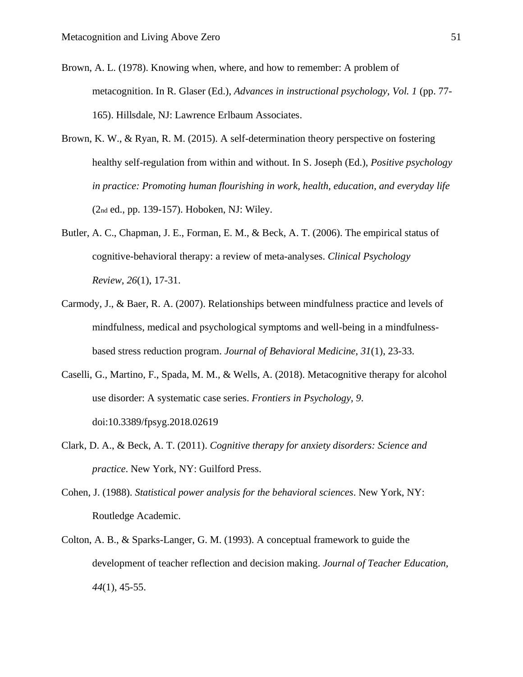- Brown, A. L. (1978). Knowing when, where, and how to remember: A problem of metacognition. In R. Glaser (Ed.), *Advances in instructional psychology, Vol. 1* (pp. 77- 165). Hillsdale, NJ: Lawrence Erlbaum Associates.
- Brown, K. W., & Ryan, R. M. (2015). A self-determination theory perspective on fostering healthy self-regulation from within and without. In S. Joseph (Ed.), *Positive psychology in practice: Promoting human flourishing in work, health, education, and everyday life* (2nd ed., pp. 139-157). Hoboken, NJ: Wiley.
- Butler, A. C., Chapman, J. E., Forman, E. M., & Beck, A. T. (2006). The empirical status of cognitive-behavioral therapy: a review of meta-analyses. *Clinical Psychology Review*, *26*(1), 17-31.
- Carmody, J., & Baer, R. A. (2007). Relationships between mindfulness practice and levels of mindfulness, medical and psychological symptoms and well-being in a mindfulnessbased stress reduction program. *Journal of Behavioral Medicine*, *31*(1), 23-33.
- Caselli, G., Martino, F., Spada, M. M., & Wells, A. (2018). Metacognitive therapy for alcohol use disorder: A systematic case series. *Frontiers in Psychology, 9*. doi:10.3389/fpsyg.2018.02619
- Clark, D. A., & Beck, A. T. (2011). *Cognitive therapy for anxiety disorders: Science and practice*. New York, NY: Guilford Press.
- Cohen, J. (1988). *Statistical power analysis for the behavioral sciences*. New York, NY: Routledge Academic.
- Colton, A. B., & Sparks-Langer, G. M. (1993). A conceptual framework to guide the development of teacher reflection and decision making. *Journal of Teacher Education, 44*(1), 45-55.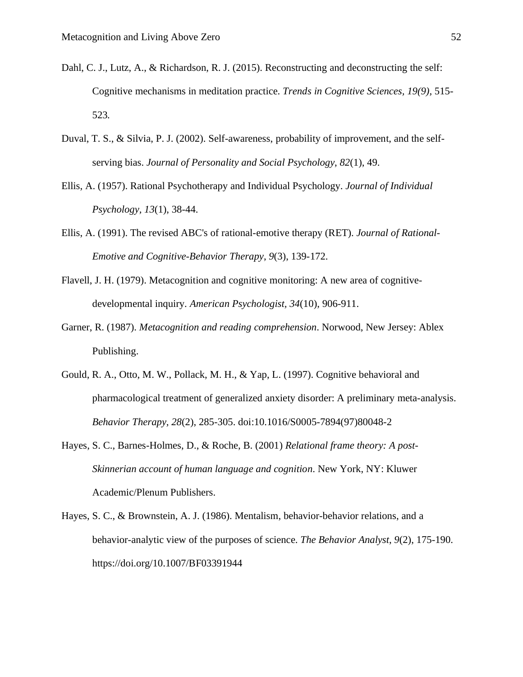- Dahl, C. J., Lutz, A., & Richardson, R. J. (2015). Reconstructing and deconstructing the self: Cognitive mechanisms in meditation practice. *Trends in Cognitive Sciences, 19(9),* 515- 523*.*
- Duval, T. S., & Silvia, P. J. (2002). Self-awareness, probability of improvement, and the selfserving bias. *Journal of Personality and Social Psychology*, *82*(1), 49.
- Ellis, A. (1957). Rational Psychotherapy and Individual Psychology. *Journal of Individual Psychology, 13*(1), 38-44.
- Ellis, A. (1991). The revised ABC's of rational-emotive therapy (RET). *Journal of Rational-Emotive and Cognitive-Behavior Therapy*, *9*(3), 139-172.
- Flavell, J. H. (1979). Metacognition and cognitive monitoring: A new area of cognitivedevelopmental inquiry. *American Psychologist, 34*(10), 906-911.
- Garner, R. (1987). *Metacognition and reading comprehension*. Norwood, New Jersey: Ablex Publishing.
- Gould, R. A., Otto, M. W., Pollack, M. H., & Yap, L. (1997). Cognitive behavioral and pharmacological treatment of generalized anxiety disorder: A preliminary meta-analysis. *Behavior Therapy, 28*(2), 285-305. doi:10.1016/S0005-7894(97)80048-2
- Hayes, S. C., Barnes-Holmes, D., & Roche, B. (2001) *Relational frame theory: A post-Skinnerian account of human language and cognition*. New York, NY: Kluwer Academic/Plenum Publishers.
- Hayes, S. C., & Brownstein, A. J. (1986). Mentalism, behavior-behavior relations, and a behavior-analytic view of the purposes of science. *The Behavior Analyst*, *9*(2), 175-190. https://doi.org/10.1007/BF03391944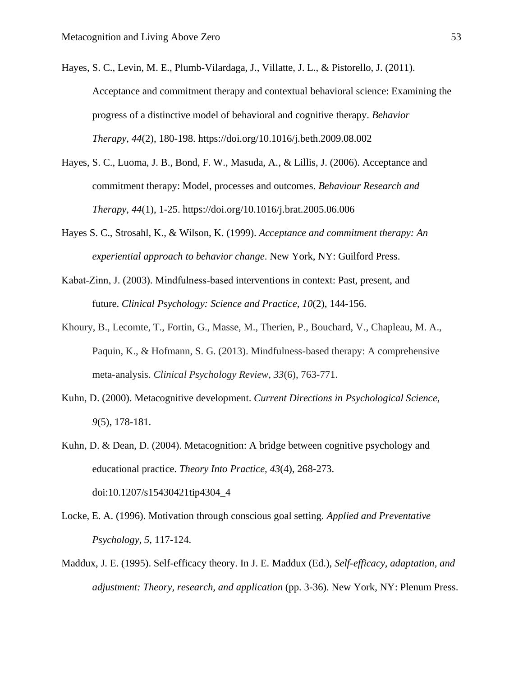- Hayes, S. C., Levin, M. E., Plumb-Vilardaga, J., Villatte, J. L., & Pistorello, J. (2011). Acceptance and commitment therapy and contextual behavioral science: Examining the progress of a distinctive model of behavioral and cognitive therapy. *Behavior Therapy*, *44*(2), 180-198. https://doi.org/10.1016/j.beth.2009.08.002
- Hayes, S. C., Luoma, J. B., Bond, F. W., Masuda, A., & Lillis, J. (2006). Acceptance and commitment therapy: Model, processes and outcomes. *Behaviour Research and Therapy*, *44*(1), 1-25. https://doi.org/10.1016/j.brat.2005.06.006
- Hayes S. C., Strosahl, K., & Wilson, K. (1999). *Acceptance and commitment therapy: An experiential approach to behavior change*. New York, NY: Guilford Press.
- Kabat‐Zinn, J. (2003). Mindfulness‐based interventions in context: Past, present, and future. *Clinical Psychology: Science and Practice*, *10*(2), 144-156.
- Khoury, B., Lecomte, T., Fortin, G., Masse, M., Therien, P., Bouchard, V., Chapleau, M. A., Paquin, K., & Hofmann, S. G. (2013). Mindfulness-based therapy: A comprehensive meta-analysis. *Clinical Psychology Review*, *33*(6), 763-771.
- Kuhn, D. (2000). Metacognitive development. *Current Directions in Psychological Science, 9*(5), 178-181.

Kuhn, D. & Dean, D. (2004). Metacognition: A bridge between cognitive psychology and educational practice. *Theory Into Practice, 43*(4), 268-273. doi:10.1207/s15430421tip4304\_4

- Locke, E. A. (1996). Motivation through conscious goal setting. *Applied and Preventative Psychology, 5,* 117-124.
- Maddux, J. E. (1995). Self-efficacy theory. In J. E. Maddux (Ed.), *Self-efficacy, adaptation, and adjustment: Theory, research, and application* (pp. 3-36). New York, NY: Plenum Press.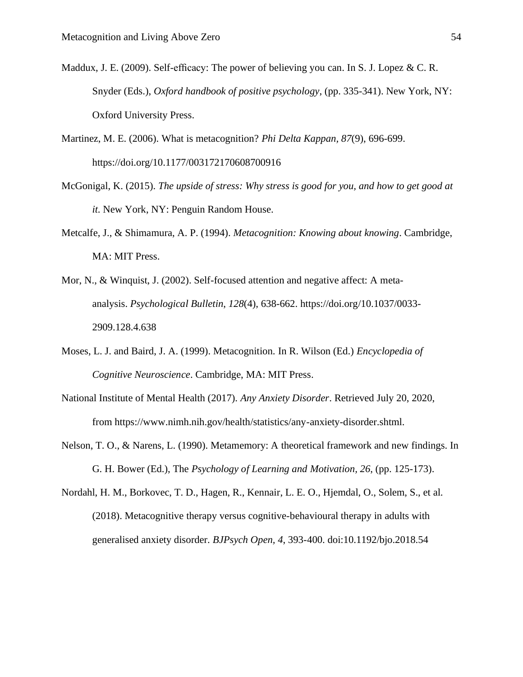- Maddux, J. E. (2009). Self-efficacy: The power of believing you can. In S. J. Lopez & C. R. Snyder (Eds.), *Oxford handbook of positive psychology*, (pp. 335-341). New York, NY: Oxford University Press.
- Martinez, M. E. (2006). What is metacognition? *Phi Delta Kappan, 87*(9), 696-699. https://doi.org/10.1177/003172170608700916
- McGonigal, K. (2015). *The upside of stress: Why stress is good for you, and how to get good at it*. New York, NY: Penguin Random House.
- Metcalfe, J., & Shimamura, A. P. (1994). *Metacognition: Knowing about knowing*. Cambridge, MA: MIT Press.
- Mor, N., & Winquist, J. (2002). Self-focused attention and negative affect: A metaanalysis. *Psychological Bulletin*, *128*(4), 638-662. https://doi.org/10.1037/0033- 2909.128.4.638
- Moses, L. J. and Baird, J. A. (1999). Metacognition. In R. Wilson (Ed.) *Encyclopedia of Cognitive Neuroscience*. Cambridge, MA: MIT Press.
- National Institute of Mental Health (2017). *Any Anxiety Disorder*. Retrieved July 20, 2020, from https://www.nimh.nih.gov/health/statistics/any-anxiety-disorder.shtml.
- Nelson, T. O., & Narens, L. (1990). Metamemory: A theoretical framework and new findings. In G. H. Bower (Ed.), The *Psychology of Learning and Motivation, 26*, (pp. 125-173).
- Nordahl, H. M., Borkovec, T. D., Hagen, R., Kennair, L. E. O., Hjemdal, O., Solem, S., et al. (2018). Metacognitive therapy versus cognitive-behavioural therapy in adults with generalised anxiety disorder. *BJPsych Open, 4*, 393-400. doi:10.1192/bjo.2018.54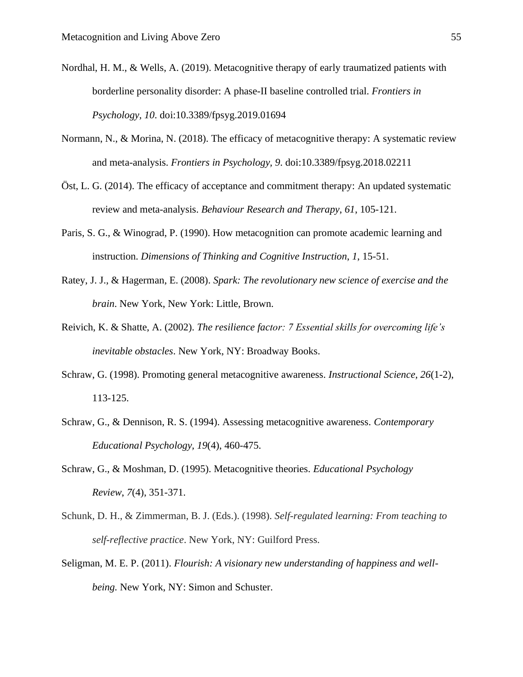- Nordhal, H. M., & Wells, A. (2019). Metacognitive therapy of early traumatized patients with borderline personality disorder: A phase-II baseline controlled trial. *Frontiers in Psychology, 10*. doi:10.3389/fpsyg.2019.01694
- Normann, N., & Morina, N. (2018). The efficacy of metacognitive therapy: A systematic review and meta-analysis. *Frontiers in Psychology, 9*. doi:10.3389/fpsyg.2018.02211
- Öst, L. G. (2014). The efficacy of acceptance and commitment therapy: An updated systematic review and meta-analysis. *Behaviour Research and Therapy*, *61*, 105-121.
- Paris, S. G., & Winograd, P. (1990). How metacognition can promote academic learning and instruction. *Dimensions of Thinking and Cognitive Instruction*, *1*, 15-51.
- Ratey, J. J., & Hagerman, E. (2008). *Spark: The revolutionary new science of exercise and the brain*. New York, New York: Little, Brown.
- Reivich, K. & Shatte, A. (2002). *The resilience factor: 7 Essential skills for overcoming life's inevitable obstacles*. New York, NY: Broadway Books.
- Schraw, G. (1998). Promoting general metacognitive awareness. *Instructional Science, 26*(1-2), 113-125.
- Schraw, G., & Dennison, R. S. (1994). Assessing metacognitive awareness. *Contemporary Educational Psychology, 19*(4), 460-475.
- Schraw, G., & Moshman, D. (1995). Metacognitive theories. *Educational Psychology Review*, *7*(4), 351-371.
- Schunk, D. H., & Zimmerman, B. J. (Eds.). (1998). *Self-regulated learning: From teaching to self-reflective practice*. New York, NY: Guilford Press.
- Seligman, M. E. P. (2011). *Flourish: A visionary new understanding of happiness and wellbeing.* New York, NY: Simon and Schuster.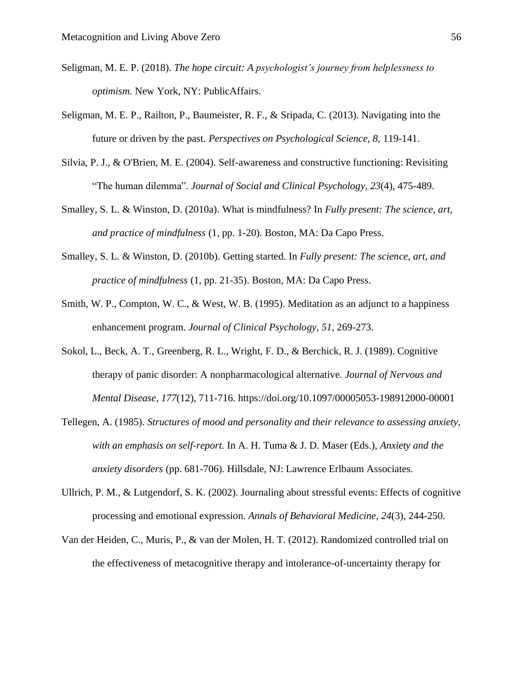- Seligman, M. E. P. (2018). *The hope circuit: A psychologist's journey from helplessness to optimism.* New York, NY: PublicAffairs.
- Seligman, M. E. P., Railton, P., Baumeister, R. F., & Sripada, C. (2013). Navigating into the future or driven by the past. *Perspectives on Psychological Science, 8,* 119-141.
- Silvia, P. J., & O'Brien, M. E. (2004). Self-awareness and constructive functioning: Revisiting "The human dilemma". *Journal of Social and Clinical Psychology*, *23*(4), 475-489.
- Smalley, S. L. & Winston, D. (2010a). What is mindfulness? In *Fully present: The science, art, and practice of mindfulness* (1, pp. 1-20)*.* Boston, MA: Da Capo Press.
- Smalley, S. L. & Winston, D. (2010b). Getting started. In *Fully present: The science, art, and practice of mindfulness* (1, pp. 21-35). Boston, MA: Da Capo Press.
- Smith, W. P., Compton, W. C., & West, W. B. (1995). Meditation as an adjunct to a happiness enhancement program. *Journal of Clinical Psychology, 51*, 269-273.
- Sokol, L., Beck, A. T., Greenberg, R. L., Wright, F. D., & Berchick, R. J. (1989). Cognitive therapy of panic disorder: A nonpharmacological alternative. *Journal of Nervous and Mental Disease, 177*(12), 711-716. https://doi.org/10.1097/00005053-198912000-00001
- Tellegen, A. (1985). *Structures of mood and personality and their relevance to assessing anxiety, with an emphasis on self-report.* In A. H. Tuma & J. D. Maser (Eds.), *Anxiety and the anxiety disorders* (pp. 681-706). Hillsdale, NJ: Lawrence Erlbaum Associates.
- Ullrich, P. M., & Lutgendorf, S. K. (2002). Journaling about stressful events: Effects of cognitive processing and emotional expression. *Annals of Behavioral Medicine*, *24*(3), 244-250.
- Van der Heiden, C., Muris, P., & van der Molen, H. T. (2012). Randomized controlled trial on the effectiveness of metacognitive therapy and intolerance-of-uncertainty therapy for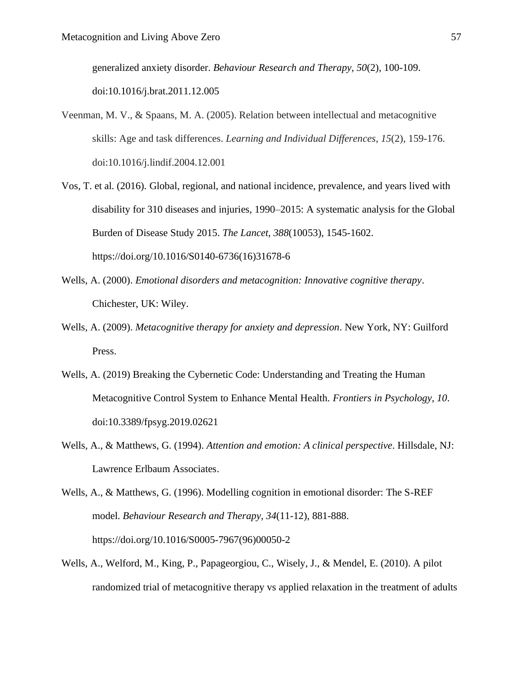generalized anxiety disorder. *Behaviour Research and Therapy, 50*(2), 100-109. doi:10.1016/j.brat.2011.12.005

- Veenman, M. V., & Spaans, M. A. (2005). Relation between intellectual and metacognitive skills: Age and task differences. *Learning and Individual Differences*, *15*(2), 159-176. doi:10.1016/j.lindif.2004.12.001
- Vos, T. et al. (2016). Global, regional, and national incidence, prevalence, and years lived with disability for 310 diseases and injuries, 1990–2015: A systematic analysis for the Global Burden of Disease Study 2015. *The Lancet*, *388*(10053), 1545-1602. https://doi.org/10.1016/S0140-6736(16)31678-6
- Wells, A. (2000). *Emotional disorders and metacognition: Innovative cognitive therapy*. Chichester, UK: Wiley.
- Wells, A. (2009). *Metacognitive therapy for anxiety and depression*. New York, NY: Guilford Press.
- Wells, A. (2019) Breaking the Cybernetic Code: Understanding and Treating the Human Metacognitive Control System to Enhance Mental Health. *Frontiers in Psychology, 10*. doi:10.3389/fpsyg.2019.02621
- Wells, A., & Matthews, G. (1994). *Attention and emotion: A clinical perspective*. Hillsdale, NJ: Lawrence Erlbaum Associates.

Wells, A., & Matthews, G. (1996). Modelling cognition in emotional disorder: The S-REF model. *Behaviour Research and Therapy*, *34*(11-12), 881-888. https://doi.org/10.1016/S0005-7967(96)00050-2

Wells, A., Welford, M., King, P., Papageorgiou, C., Wisely, J., & Mendel, E. (2010). A pilot randomized trial of metacognitive therapy vs applied relaxation in the treatment of adults